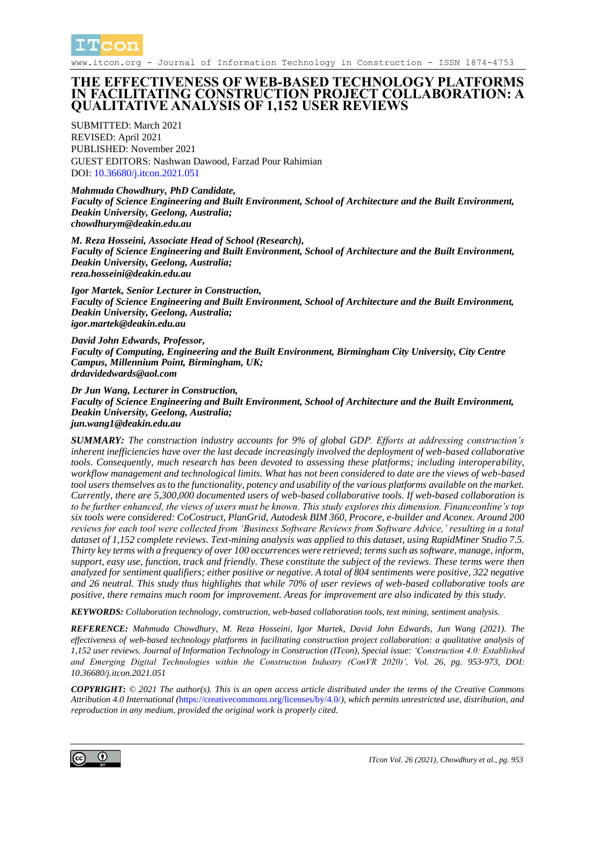

www.itcon.org - Journal of Information Technology in Construction - ISSN 1874-4753

#### **THE EFFECTIVENESS OF WEB-BASED TECHNOLOGY PLATFORMS IN FACILITATING CONSTRUCTION PROJECT COLLABORATION: A QUALITATIVE ANALYSIS OF 1,152 USER REVIEWS**

SUBMITTED: March 2021 REVISED: April 2021 PUBLISHED: November 2021 GUEST EDITORS: Nashwan Dawood, Farzad Pour Rahimian DOI: 10.36680/*i.itcon.2021.051* 

#### *Mahmuda Chowdhury, PhD Candidate,*

*Faculty of Science Engineering and Built Environment, School of Architecture and the Built Environment, Deakin University, Geelong, Australia; chowdhurym@deakin.edu.au*

*M. Reza Hosseini, Associate Head of School (Research),*

*Faculty of Science Engineering and Built Environment, School of Architecture and the Built Environment, Deakin University, Geelong, Australia; reza.hosseini@deakin.edu.au*

*Igor Martek, Senior Lecturer in Construction, Faculty of Science Engineering and Built Environment, School of Architecture and the Built Environment, Deakin University, Geelong, Australia; igor.martek@deakin.edu.au*

*David John Edwards, Professor, Faculty of Computing, Engineering and the Built Environment, Birmingham City University, City Centre Campus, Millennium Point, Birmingham, UK; drdavidedwards@aol.com*

#### *Dr Jun Wang, Lecturer in Construction,*

*Faculty of Science Engineering and Built Environment, School of Architecture and the Built Environment, Deakin University, Geelong, Australia; jun.wang1@deakin.edu.au*

*SUMMARY: The construction industry accounts for 9% of global GDP. Efforts at addressing construction's inherent inefficiencies have over the last decade increasingly involved the deployment of web-based collaborative tools. Consequently, much research has been devoted to assessing these platforms; including interoperability, workflow management and technological limits. What has not been considered to date are the views of web-based tool users themselves as to the functionality, potency and usability of the various platforms available on the market. Currently, there are 5,300,000 documented users of web-based collaborative tools. If web-based collaboration is to be further enhanced, the views of users must be known. This study explores this dimension. Financeonline's top six tools were considered: CoCostruct, PlanGrid, Autodesk BIM 360, Procore, e-builder and Aconex. Around 200 reviews for each tool were collected from 'Business Software Reviews from Software Advice,' resulting in a total dataset of 1,152 complete reviews. Text-mining analysis was applied to this dataset, using RapidMiner Studio 7.5. Thirty key terms with a frequency of over 100 occurrences were retrieved; terms such as software, manage, inform, support, easy use, function, track and friendly. These constitute the subject of the reviews. These terms were then analyzed for sentiment qualifiers; either positive or negative. A total of 804 sentiments were positive, 322 negative and 26 neutral. This study thus highlights that while 70% of user reviews of web-based collaborative tools are positive, there remains much room for improvement. Areas for improvement are also indicated by this study.*

*KEYWORDS: Collaboration technology, construction, web-based collaboration tools, text mining, sentiment analysis.*

*REFERENCE: Mahmuda Chowdhury, M. Reza Hosseini, Igor Martek, David John Edwards, Jun Wang (2021). The effectiveness of web-based technology platforms in facilitating construction project collaboration: a qualitative analysis of 1,152 user reviews. Journal of Information Technology in Construction (ITcon), Special issue: 'Construction 4.0: Established and Emerging Digital Technologies within the Construction Industry (ConVR 2020)', Vol. 26, pg. 953-973, DOI: 10.36680/j.itcon.2021.051*

*COPYRIGHT: © 2021 The author(s). This is an open access article distributed under the terms of the Creative Commons Attribution 4.0 International (*<https://creativecommons.org/licenses/by/4.0/>*), which permits unrestricted use, distribution, and reproduction in any medium, provided the original work is properly cited.*

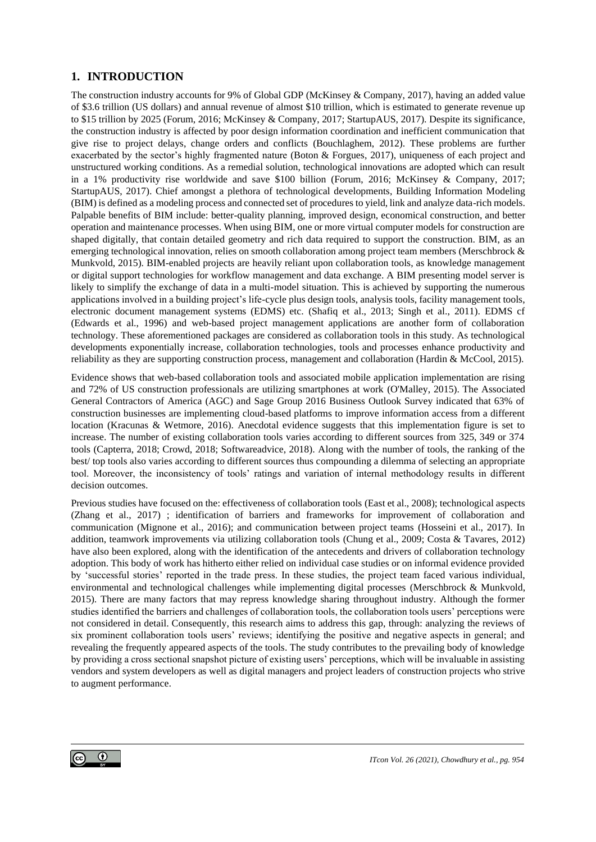### **1. INTRODUCTION**

The construction industry accounts for 9% of Global GDP (McKinsey & Company, 2017), having an added value of \$3.6 trillion (US dollars) and annual revenue of almost \$10 trillion, which is estimated to generate revenue up to \$15 trillion by 2025 (Forum, 2016; McKinsey & Company, 2017; StartupAUS, 2017). Despite its significance, the construction industry is affected by poor design information coordination and inefficient communication that give rise to project delays, change orders and conflicts (Bouchlaghem, 2012). These problems are further exacerbated by the sector's highly fragmented nature (Boton & Forgues, 2017), uniqueness of each project and unstructured working conditions. As a remedial solution, technological innovations are adopted which can result in a 1% productivity rise worldwide and save \$100 billion (Forum, 2016; McKinsey & Company, 2017; StartupAUS, 2017). Chief amongst a plethora of technological developments, Building Information Modeling (BIM) is defined as a modeling process and connected set of procedures to yield, link and analyze data-rich models. Palpable benefits of BIM include: better-quality planning, improved design, economical construction, and better operation and maintenance processes. When using BIM, one or more virtual computer models for construction are shaped digitally, that contain detailed geometry and rich data required to support the construction. BIM, as an emerging technological innovation, relies on smooth collaboration among project team members (Merschbrock & Munkvold, 2015). BIM-enabled projects are heavily reliant upon collaboration tools, as knowledge management or digital support technologies for workflow management and data exchange. A BIM presenting model server is likely to simplify the exchange of data in a multi-model situation. This is achieved by supporting the numerous applications involved in a building project's life-cycle plus design tools, analysis tools, facility management tools, electronic document management systems (EDMS) etc. (Shafiq et al., 2013; Singh et al., 2011). EDMS cf (Edwards et al., 1996) and web-based project management applications are another form of collaboration technology. These aforementioned packages are considered as collaboration tools in this study. As technological developments exponentially increase, collaboration technologies, tools and processes enhance productivity and reliability as they are supporting construction process, management and collaboration (Hardin & McCool, 2015).

Evidence shows that web-based collaboration tools and associated mobile application implementation are rising and 72% of US construction professionals are utilizing smartphones at work (O'Malley, 2015). The Associated General Contractors of America (AGC) and Sage Group 2016 Business Outlook Survey indicated that 63% of construction businesses are implementing cloud-based platforms to improve information access from a different location (Kracunas & Wetmore, 2016). Anecdotal evidence suggests that this implementation figure is set to increase. The number of existing collaboration tools varies according to different sources from 325, 349 or 374 tools (Capterra, 2018; Crowd, 2018; Softwareadvice, 2018). Along with the number of tools, the ranking of the best/ top tools also varies according to different sources thus compounding a dilemma of selecting an appropriate tool. Moreover, the inconsistency of tools' ratings and variation of internal methodology results in different decision outcomes.

Previous studies have focused on the: effectiveness of collaboration tools (East et al., 2008); technological aspects (Zhang et al., 2017) ; identification of barriers and frameworks for improvement of collaboration and communication (Mignone et al., 2016); and communication between project teams (Hosseini et al., 2017). In addition, teamwork improvements via utilizing collaboration tools (Chung et al., 2009; Costa & Tavares, 2012) have also been explored, along with the identification of the antecedents and drivers of collaboration technology adoption. This body of work has hitherto either relied on individual case studies or on informal evidence provided by 'successful stories' reported in the trade press. In these studies, the project team faced various individual, environmental and technological challenges while implementing digital processes (Merschbrock & Munkvold, 2015). There are many factors that may repress knowledge sharing throughout industry. Although the former studies identified the barriers and challenges of collaboration tools, the collaboration tools users' perceptions were not considered in detail. Consequently, this research aims to address this gap, through: analyzing the reviews of six prominent collaboration tools users' reviews; identifying the positive and negative aspects in general; and revealing the frequently appeared aspects of the tools. The study contributes to the prevailing body of knowledge by providing a cross sectional snapshot picture of existing users' perceptions, which will be invaluable in assisting vendors and system developers as well as digital managers and project leaders of construction projects who strive to augment performance.

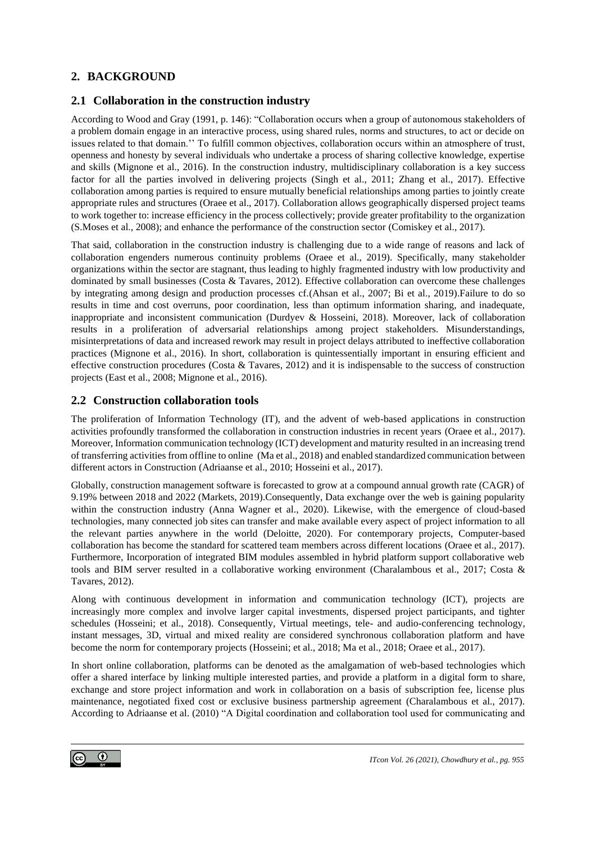## **2. BACKGROUND**

#### **2.1 Collaboration in the construction industry**

According to Wood and Gray (1991, p. 146): "Collaboration occurs when a group of autonomous stakeholders of a problem domain engage in an interactive process, using shared rules, norms and structures, to act or decide on issues related to that domain.'' To fulfill common objectives, collaboration occurs within an atmosphere of trust, openness and honesty by several individuals who undertake a process of sharing collective knowledge, expertise and skills (Mignone et al., 2016). In the construction industry, multidisciplinary collaboration is a key success factor for all the parties involved in delivering projects (Singh et al., 2011; Zhang et al., 2017). Effective collaboration among parties is required to ensure mutually beneficial relationships among parties to jointly create appropriate rules and structures (Oraee et al., 2017). Collaboration allows geographically dispersed project teams to work together to: increase efficiency in the process collectively; provide greater profitability to the organization (S.Moses et al., 2008); and enhance the performance of the construction sector (Comiskey et al., 2017).

That said, collaboration in the construction industry is challenging due to a wide range of reasons and lack of collaboration engenders numerous continuity problems (Oraee et al., 2019). Specifically, many stakeholder organizations within the sector are stagnant, thus leading to highly fragmented industry with low productivity and dominated by small businesses (Costa & Tavares, 2012). Effective collaboration can overcome these challenges by integrating among design and production processes cf.(Ahsan et al., 2007; Bi et al., 2019).Failure to do so results in time and cost overruns, poor coordination, less than optimum information sharing, and inadequate, inappropriate and inconsistent communication (Durdyev & Hosseini, 2018). Moreover, lack of collaboration results in a proliferation of adversarial relationships among project stakeholders. Misunderstandings, misinterpretations of data and increased rework may result in project delays attributed to ineffective collaboration practices (Mignone et al., 2016). In short, collaboration is quintessentially important in ensuring efficient and effective construction procedures (Costa & Tavares, 2012) and it is indispensable to the success of construction projects (East et al., 2008; Mignone et al., 2016).

### **2.2 Construction collaboration tools**

The proliferation of Information Technology (IT), and the advent of web-based applications in construction activities profoundly transformed the collaboration in construction industries in recent years (Oraee et al., 2017). Moreover, Information communication technology (ICT) development and maturity resulted in an increasing trend of transferring activities from offline to online (Ma et al., 2018) and enabled standardized communication between different actors in Construction (Adriaanse et al., 2010; Hosseini et al., 2017).

Globally, construction management software is forecasted to grow at a compound annual growth rate (CAGR) of 9.19% between 2018 and 2022 (Markets, 2019).Consequently, Data exchange over the web is gaining popularity within the construction industry (Anna Wagner et al., 2020). Likewise, with the emergence of cloud-based technologies, many connected job sites can transfer and make available every aspect of project information to all the relevant parties anywhere in the world (Deloitte, 2020). For contemporary projects, Computer-based collaboration has become the standard for scattered team members across different locations (Oraee et al., 2017). Furthermore, Incorporation of integrated BIM modules assembled in hybrid platform support collaborative web tools and BIM server resulted in a collaborative working environment (Charalambous et al., 2017; Costa & Tavares, 2012).

Along with continuous development in information and communication technology (ICT), projects are increasingly more complex and involve larger capital investments, dispersed project participants, and tighter schedules (Hosseini; et al., 2018). Consequently, Virtual meetings, tele- and audio-conferencing technology, instant messages, 3D, virtual and mixed reality are considered synchronous collaboration platform and have become the norm for contemporary projects (Hosseini; et al., 2018; Ma et al., 2018; Oraee et al., 2017).

In short online collaboration, platforms can be denoted as the amalgamation of web-based technologies which offer a shared interface by linking multiple interested parties, and provide a platform in a digital form to share, exchange and store project information and work in collaboration on a basis of subscription fee, license plus maintenance, negotiated fixed cost or exclusive business partnership agreement (Charalambous et al., 2017). According to Adriaanse et al. (2010) "A Digital coordination and collaboration tool used for communicating and

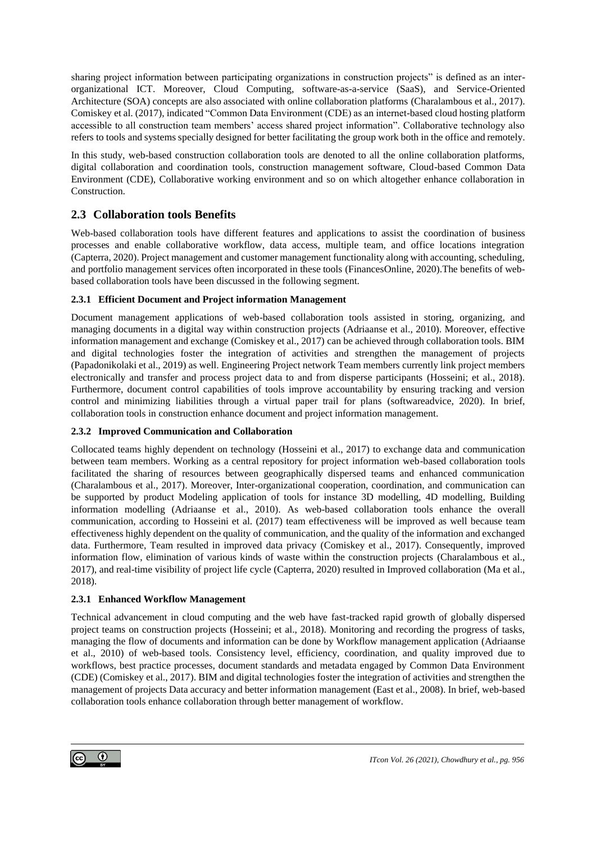sharing project information between participating organizations in construction projects" is defined as an interorganizational ICT. Moreover, Cloud Computing, software-as-a-service (SaaS), and Service-Oriented Architecture (SOA) concepts are also associated with online collaboration platforms (Charalambous et al., 2017). Comiskey et al. (2017), indicated "Common Data Environment (CDE) as an internet-based cloud hosting platform accessible to all construction team members' access shared project information". Collaborative technology also refers to tools and systems specially designed for better facilitating the group work both in the office and remotely.

In this study, web-based construction collaboration tools are denoted to all the online collaboration platforms, digital collaboration and coordination tools, construction management software, Cloud-based Common Data Environment (CDE), Collaborative working environment and so on which altogether enhance collaboration in Construction.

## **2.3 Collaboration tools Benefits**

Web-based collaboration tools have different features and applications to assist the coordination of business processes and enable collaborative workflow, data access, multiple team, and office locations integration (Capterra, 2020).Project management and customer management functionality along with accounting, scheduling, and portfolio management services often incorporated in these tools (FinancesOnline, 2020).The benefits of webbased collaboration tools have been discussed in the following segment.

#### **2.3.1 Efficient Document and Project information Management**

Document management applications of web-based collaboration tools assisted in storing, organizing, and managing documents in a digital way within construction projects (Adriaanse et al., 2010). Moreover, effective information management and exchange (Comiskey et al., 2017) can be achieved through collaboration tools. BIM and digital technologies foster the integration of activities and strengthen the management of projects (Papadonikolaki et al., 2019) as well. Engineering Project network Team members currently link project members electronically and transfer and process project data to and from disperse participants (Hosseini; et al., 2018). Furthermore, document control capabilities of tools improve accountability by ensuring tracking and version control and minimizing liabilities through a virtual paper trail for plans (softwareadvice, 2020). In brief, collaboration tools in construction enhance document and project information management.

#### **2.3.2 Improved Communication and Collaboration**

Collocated teams highly dependent on technology (Hosseini et al., 2017) to exchange data and communication between team members. Working as a central repository for project information web-based collaboration tools facilitated the sharing of resources between geographically dispersed teams and enhanced communication (Charalambous et al., 2017). Moreover, Inter-organizational cooperation, coordination, and communication can be supported by product Modeling application of tools for instance 3D modelling, 4D modelling, Building information modelling (Adriaanse et al., 2010). As web-based collaboration tools enhance the overall communication, according to Hosseini et al. (2017) team effectiveness will be improved as well because team effectiveness highly dependent on the quality of communication, and the quality of the information and exchanged data. Furthermore, Team resulted in improved data privacy (Comiskey et al., 2017). Consequently, improved information flow, elimination of various kinds of waste within the construction projects (Charalambous et al., 2017), and real-time visibility of project life cycle (Capterra, 2020) resulted in Improved collaboration (Ma et al., 2018).

#### **2.3.1 Enhanced Workflow Management**

Technical advancement in cloud computing and the web have fast-tracked rapid growth of globally dispersed project teams on construction projects (Hosseini; et al., 2018). Monitoring and recording the progress of tasks, managing the flow of documents and information can be done by Workflow management application (Adriaanse et al., 2010) of web-based tools. Consistency level, efficiency, coordination, and quality improved due to workflows, best practice processes, document standards and metadata engaged by Common Data Environment (CDE) (Comiskey et al., 2017). BIM and digital technologies foster the integration of activities and strengthen the management of projects Data accuracy and better information management (East et al., 2008). In brief, web-based collaboration tools enhance collaboration through better management of workflow.

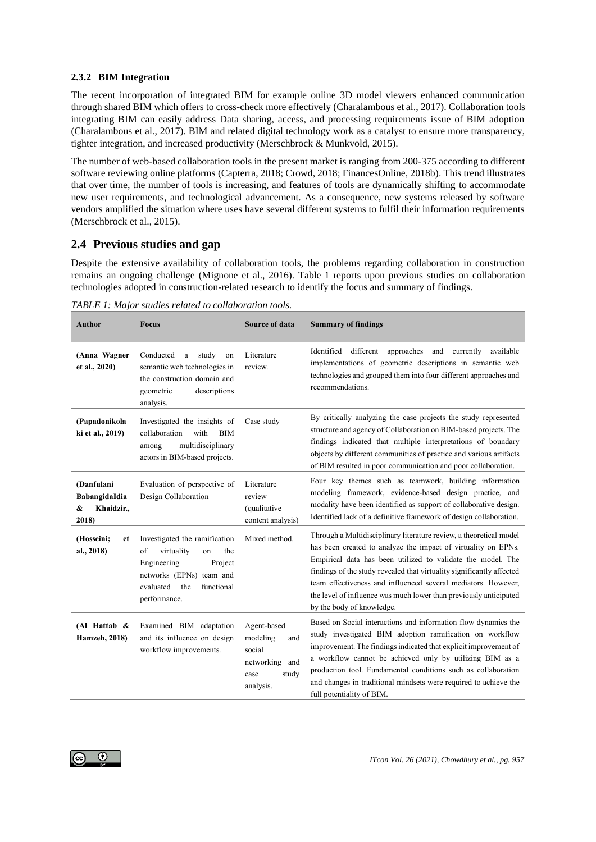#### **2.3.2 BIM Integration**

The recent incorporation of integrated BIM for example online 3D model viewers enhanced communication through shared BIM which offers to cross-check more effectively (Charalambous et al., 2017). Collaboration tools integrating BIM can easily address Data sharing, access, and processing requirements issue of BIM adoption (Charalambous et al., 2017). BIM and related digital technology work as a catalyst to ensure more transparency, tighter integration, and increased productivity (Merschbrock & Munkvold, 2015).

The number of web-based collaboration tools in the present market is ranging from 200-375 according to different software reviewing online platforms (Capterra, 2018; Crowd, 2018; FinancesOnline, 2018b). This trend illustrates that over time, the number of tools is increasing, and features of tools are dynamically shifting to accommodate new user requirements, and technological advancement. As a consequence, new systems released by software vendors amplified the situation where uses have several different systems to fulfil their information requirements (Merschbrock et al., 2015).

### **2.4 Previous studies and gap**

Despite the extensive availability of collaboration tools, the problems regarding collaboration in construction remains an ongoing challenge (Mignone et al., 2016). Table 1 reports upon previous studies on collaboration technologies adopted in construction-related research to identify the focus and summary of findings.

| <b>Author</b>                                           | <b>Focus</b>                                                                                                                                                           | <b>Source of data</b>                                                                    | <b>Summary of findings</b>                                                                                                                                                                                                                                                                                                                                                                                                                     |
|---------------------------------------------------------|------------------------------------------------------------------------------------------------------------------------------------------------------------------------|------------------------------------------------------------------------------------------|------------------------------------------------------------------------------------------------------------------------------------------------------------------------------------------------------------------------------------------------------------------------------------------------------------------------------------------------------------------------------------------------------------------------------------------------|
| (Anna Wagner<br>et al., 2020)                           | Conducted<br>a study<br>on<br>semantic web technologies in<br>the construction domain and<br>geometric<br>descriptions<br>analysis.                                    | Literature<br>review.                                                                    | Identified<br>different approaches and<br>currently<br>available<br>implementations of geometric descriptions in semantic web<br>technologies and grouped them into four different approaches and<br>recommendations.                                                                                                                                                                                                                          |
| (Papadonikola<br>ki et al., 2019)                       | Investigated the insights of<br>with<br>collaboration<br><b>BIM</b><br>multidisciplinary<br>among<br>actors in BIM-based projects.                                     | Case study                                                                               | By critically analyzing the case projects the study represented<br>structure and agency of Collaboration on BIM-based projects. The<br>findings indicated that multiple interpretations of boundary<br>objects by different communities of practice and various artifacts<br>of BIM resulted in poor communication and poor collaboration.                                                                                                     |
| (Danfulani<br>BabangidaIdia<br>Khaidzir.,<br>&<br>2018) | Evaluation of perspective of<br>Design Collaboration                                                                                                                   | Literature<br>review<br>(qualitative<br>content analysis)                                | Four key themes such as teamwork, building information<br>modeling framework, evidence-based design practice, and<br>modality have been identified as support of collaborative design.<br>Identified lack of a definitive framework of design collaboration.                                                                                                                                                                                   |
| (Hosseini;<br>et<br>al., 2018)                          | Investigated the ramification<br>virtuality<br>the<br>of<br>on<br>Engineering<br>Project<br>networks (EPNs) team and<br>evaluated<br>the<br>functional<br>performance. | Mixed method.                                                                            | Through a Multidisciplinary literature review, a theoretical model<br>has been created to analyze the impact of virtuality on EPNs.<br>Empirical data has been utilized to validate the model. The<br>findings of the study revealed that virtuality significantly affected<br>team effectiveness and influenced several mediators. However,<br>the level of influence was much lower than previously anticipated<br>by the body of knowledge. |
| (Al Hattab $\&$<br><b>Hamzeh</b> , 2018)                | Examined BIM adaptation<br>and its influence on design<br>workflow improvements.                                                                                       | Agent-based<br>modeling<br>and<br>social<br>networking and<br>study<br>case<br>analysis. | Based on Social interactions and information flow dynamics the<br>study investigated BIM adoption ramification on workflow<br>improvement. The findings indicated that explicit improvement of<br>a workflow cannot be achieved only by utilizing BIM as a<br>production tool. Fundamental conditions such as collaboration<br>and changes in traditional mindsets were required to achieve the<br>full potentiality of BIM.                   |

*TABLE 1: Major studies related to collaboration tools.*

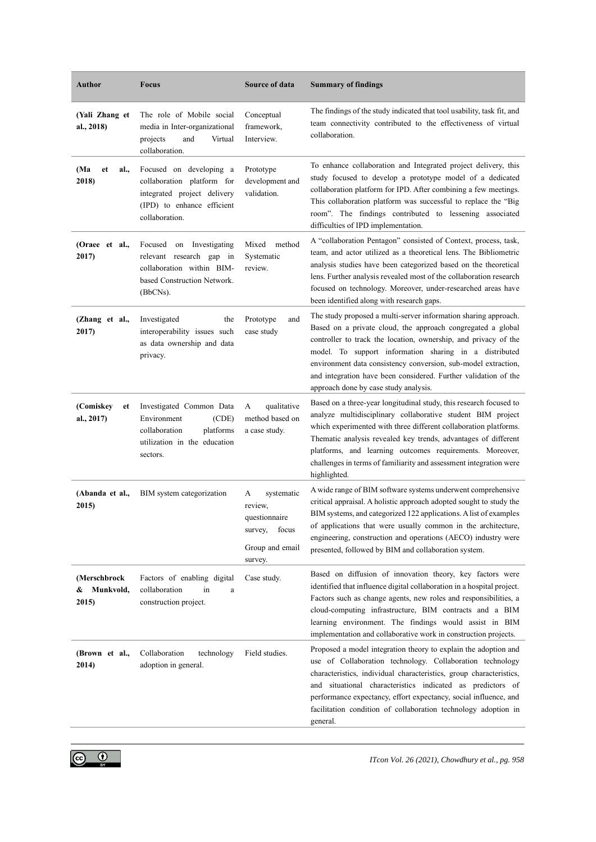| Author                               | <b>Focus</b>                                                                                                                         | <b>Source of data</b>                                                                      | <b>Summary of findings</b>                                                                                                                                                                                                                                                                                                                                                                                                                |
|--------------------------------------|--------------------------------------------------------------------------------------------------------------------------------------|--------------------------------------------------------------------------------------------|-------------------------------------------------------------------------------------------------------------------------------------------------------------------------------------------------------------------------------------------------------------------------------------------------------------------------------------------------------------------------------------------------------------------------------------------|
| (Yali Zhang et<br>al., 2018)         | The role of Mobile social<br>media in Inter-organizational<br>projects<br>and<br>Virtual<br>collaboration.                           | Conceptual<br>framework,<br>Interview.                                                     | The findings of the study indicated that tool usability, task fit, and<br>team connectivity contributed to the effectiveness of virtual<br>collaboration.                                                                                                                                                                                                                                                                                 |
| (Ma<br>et<br>al.,<br>2018)           | Focused on developing a<br>collaboration platform for<br>integrated project delivery<br>(IPD) to enhance efficient<br>collaboration. | Prototype<br>development and<br>validation.                                                | To enhance collaboration and Integrated project delivery, this<br>study focused to develop a prototype model of a dedicated<br>collaboration platform for IPD. After combining a few meetings.<br>This collaboration platform was successful to replace the "Big<br>room". The findings contributed to lessening associated<br>difficulties of IPD implementation.                                                                        |
| (Oraee et al.,<br>2017)              | Focused on Investigating<br>relevant research gap in<br>collaboration within BIM-<br>based Construction Network.<br>(BbCNs).         | Mixed<br>method<br>Systematic<br>review.                                                   | A "collaboration Pentagon" consisted of Context, process, task,<br>team, and actor utilized as a theoretical lens. The Bibliometric<br>analysis studies have been categorized based on the theoretical<br>lens. Further analysis revealed most of the collaboration research<br>focused on technology. Moreover, under-researched areas have<br>been identified along with research gaps.                                                 |
| (Zhang et al.,<br>2017)              | Investigated<br>the<br>interoperability issues such<br>as data ownership and data<br>privacy.                                        | Prototype<br>and<br>case study                                                             | The study proposed a multi-server information sharing approach.<br>Based on a private cloud, the approach congregated a global<br>controller to track the location, ownership, and privacy of the<br>model. To support information sharing in a distributed<br>environment data consistency conversion, sub-model extraction,<br>and integration have been considered. Further validation of the<br>approach done by case study analysis. |
| (Comiskey<br>et<br>al., 2017)        | Investigated Common Data<br>Environment<br>(CDE)<br>collaboration<br>platforms<br>utilization in the education<br>sectors.           | qualitative<br>А<br>method based on<br>a case study.                                       | Based on a three-year longitudinal study, this research focused to<br>analyze multidisciplinary collaborative student BIM project<br>which experimented with three different collaboration platforms.<br>Thematic analysis revealed key trends, advantages of different<br>platforms, and learning outcomes requirements. Moreover,<br>challenges in terms of familiarity and assessment integration were<br>highlighted.                 |
| (Abanda et al.,<br>2015)             | BIM system categorization                                                                                                            | systematic<br>А<br>review.<br>questionnaire<br>survey, focus<br>Group and email<br>survey. | A wide range of BIM software systems underwent comprehensive<br>critical appraisal. A holistic approach adopted sought to study the<br>BIM systems, and categorized 122 applications. A list of examples<br>of applications that were usually common in the architecture,<br>engineering, construction and operations (AECO) industry were<br>presented, followed by BIM and collaboration system.                                        |
| (Merschbrock<br>& Munkvold,<br>2015) | Factors of enabling digital<br>collaboration<br>in<br>$\mathbf{a}$<br>construction project.                                          | Case study.                                                                                | Based on diffusion of innovation theory, key factors were<br>identified that influence digital collaboration in a hospital project.<br>Factors such as change agents, new roles and responsibilities, a<br>cloud-computing infrastructure, BIM contracts and a BIM<br>learning environment. The findings would assist in BIM<br>implementation and collaborative work in construction projects.                                           |
| (Brown et al.,<br>2014)              | Collaboration<br>technology<br>adoption in general.                                                                                  | Field studies.                                                                             | Proposed a model integration theory to explain the adoption and<br>use of Collaboration technology. Collaboration technology<br>characteristics, individual characteristics, group characteristics,<br>and situational characteristics indicated as predictors of<br>performance expectancy, effort expectancy, social influence, and<br>facilitation condition of collaboration technology adoption in<br>general.                       |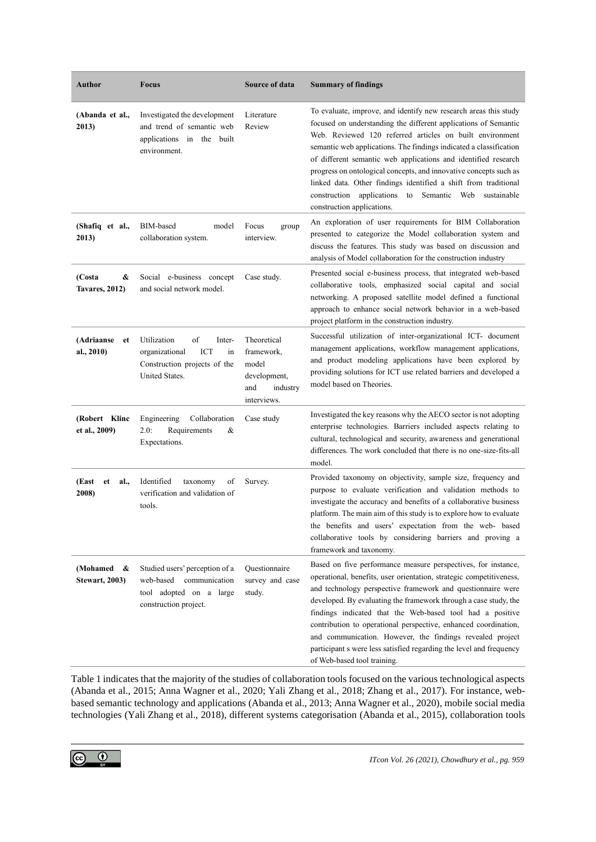| Author                                 | <b>Focus</b>                                                                                                     | <b>Source of data</b>                                                                | <b>Summary of findings</b>                                                                                                                                                                                                                                                                                                                                                                                                                                                                                                                                                   |
|----------------------------------------|------------------------------------------------------------------------------------------------------------------|--------------------------------------------------------------------------------------|------------------------------------------------------------------------------------------------------------------------------------------------------------------------------------------------------------------------------------------------------------------------------------------------------------------------------------------------------------------------------------------------------------------------------------------------------------------------------------------------------------------------------------------------------------------------------|
| (Abanda et al.,<br>2013)               | Investigated the development<br>and trend of semantic web<br>applications in the built<br>environment.           | Literature<br>Review                                                                 | To evaluate, improve, and identify new research areas this study<br>focused on understanding the different applications of Semantic<br>Web. Reviewed 120 referred articles on built environment<br>semantic web applications. The findings indicated a classification<br>of different semantic web applications and identified research<br>progress on ontological concepts, and innovative concepts such as<br>linked data. Other findings identified a shift from traditional<br>construction applications to<br>Semantic Web<br>sustainable<br>construction applications. |
| (Shafiq et al.,<br>2013)               | BIM-based<br>model<br>collaboration system.                                                                      | Focus<br>group<br>interview.                                                         | An exploration of user requirements for BIM Collaboration<br>presented to categorize the Model collaboration system and<br>discuss the features. This study was based on discussion and<br>analysis of Model collaboration for the construction industry                                                                                                                                                                                                                                                                                                                     |
| (Costa<br>&<br><b>Tavares, 2012)</b>   | Social e-business concept<br>and social network model.                                                           | Case study.                                                                          | Presented social e-business process, that integrated web-based<br>collaborative tools, emphasized social capital and social<br>networking. A proposed satellite model defined a functional<br>approach to enhance social network behavior in a web-based<br>project platform in the construction industry.                                                                                                                                                                                                                                                                   |
| (Adriaanse<br>et<br>al., 2010)         | of<br>Utilization<br>Inter-<br>ICT<br>organizational<br>in<br>Construction projects of the<br>United States.     | Theoretical<br>framework,<br>model<br>development,<br>industry<br>and<br>interviews. | Successful utilization of inter-organizational ICT- document<br>management applications, workflow management applications,<br>and product modeling applications have been explored by<br>providing solutions for ICT use related barriers and developed a<br>model based on Theories.                                                                                                                                                                                                                                                                                        |
| (Robert Klinc<br>et al., 2009)         | Engineering<br>Collaboration<br>2.0:<br>Requirements<br>&<br>Expectations.                                       | Case study                                                                           | Investigated the key reasons why the AECO sector is not adopting<br>enterprise technologies. Barriers included aspects relating to<br>cultural, technological and security, awareness and generational<br>differences. The work concluded that there is no one-size-fits-all<br>model.                                                                                                                                                                                                                                                                                       |
| (East<br>et<br>al.,<br>2008)           | Identified<br>taxonomy<br>of<br>verification and validation of<br>tools.                                         | Survey.                                                                              | Provided taxonomy on objectivity, sample size, frequency and<br>purpose to evaluate verification and validation methods to<br>investigate the accuracy and benefits of a collaborative business<br>platform. The main aim of this study is to explore how to evaluate<br>the benefits and users' expectation from the web- based<br>collaborative tools by considering barriers and proving a<br>framework and taxonomy.                                                                                                                                                     |
| (Mohamed<br>&<br><b>Stewart, 2003)</b> | Studied users' perception of a<br>web-based<br>communication<br>tool adopted on a large<br>construction project. | Questionnaire<br>survey and case<br>study.                                           | Based on five performance measure perspectives, for instance,<br>operational, benefits, user orientation, strategic competitiveness,<br>and technology perspective framework and questionnaire were<br>developed. By evaluating the framework through a case study, the<br>findings indicated that the Web-based tool had a positive<br>contribution to operational perspective, enhanced coordination,<br>and communication. However, the findings revealed project<br>participant s were less satisfied regarding the level and frequency<br>of Web-based tool training.   |

Table 1 indicates that the majority of the studies of collaboration tools focused on the various technological aspects (Abanda et al., 2015; Anna Wagner et al., 2020; Yali Zhang et al., 2018; Zhang et al., 2017). For instance, webbased semantic technology and applications (Abanda et al., 2013; Anna Wagner et al., 2020), mobile social media technologies (Yali Zhang et al., 2018), different systems categorisation (Abanda et al., 2015), collaboration tools

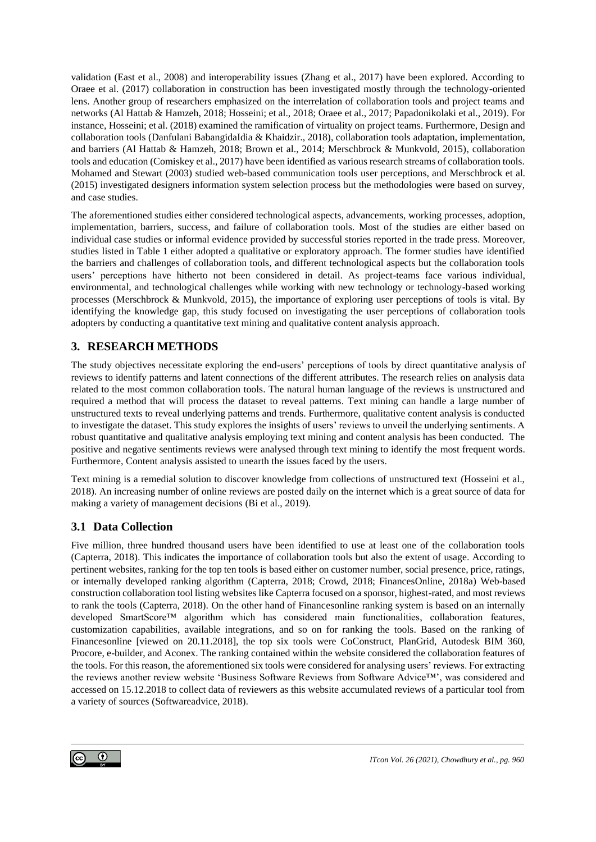validation (East et al., 2008) and interoperability issues (Zhang et al., 2017) have been explored. According to Oraee et al. (2017) collaboration in construction has been investigated mostly through the technology-oriented lens. Another group of researchers emphasized on the interrelation of collaboration tools and project teams and networks (Al Hattab & Hamzeh, 2018; Hosseini; et al., 2018; Oraee et al., 2017; Papadonikolaki et al., 2019). For instance, Hosseini; et al. (2018) examined the ramification of virtuality on project teams. Furthermore, Design and collaboration tools (Danfulani BabangidaIdia & Khaidzir., 2018), collaboration tools adaptation, implementation, and barriers (Al Hattab & Hamzeh, 2018; Brown et al., 2014; Merschbrock & Munkvold, 2015), collaboration tools and education (Comiskey et al., 2017) have been identified as various research streams of collaboration tools. Mohamed and Stewart (2003) studied web-based communication tools user perceptions, and Merschbrock et al. (2015) investigated designers information system selection process but the methodologies were based on survey, and case studies.

The aforementioned studies either considered technological aspects, advancements, working processes, adoption, implementation, barriers, success, and failure of collaboration tools. Most of the studies are either based on individual case studies or informal evidence provided by successful stories reported in the trade press. Moreover, studies listed in Table 1 either adopted a qualitative or exploratory approach. The former studies have identified the barriers and challenges of collaboration tools, and different technological aspects but the collaboration tools users' perceptions have hitherto not been considered in detail. As project-teams face various individual, environmental, and technological challenges while working with new technology or technology-based working processes (Merschbrock & Munkvold, 2015), the importance of exploring user perceptions of tools is vital. By identifying the knowledge gap, this study focused on investigating the user perceptions of collaboration tools adopters by conducting a quantitative text mining and qualitative content analysis approach.

## **3. RESEARCH METHODS**

The study objectives necessitate exploring the end-users' perceptions of tools by direct quantitative analysis of reviews to identify patterns and latent connections of the different attributes. The research relies on analysis data related to the most common collaboration tools. The natural human language of the reviews is unstructured and required a method that will process the dataset to reveal patterns. Text mining can handle a large number of unstructured texts to reveal underlying patterns and trends. Furthermore, qualitative content analysis is conducted to investigate the dataset. This study explores the insights of users' reviews to unveil the underlying sentiments. A robust quantitative and qualitative analysis employing text mining and content analysis has been conducted. The positive and negative sentiments reviews were analysed through text mining to identify the most frequent words. Furthermore, Content analysis assisted to unearth the issues faced by the users.

Text mining is a remedial solution to discover knowledge from collections of unstructured text (Hosseini et al., 2018). An increasing number of online reviews are posted daily on the internet which is a great source of data for making a variety of management decisions (Bi et al., 2019).

## **3.1 Data Collection**

Five million, three hundred thousand users have been identified to use at least one of the collaboration tools (Capterra, 2018). This indicates the importance of collaboration tools but also the extent of usage. According to pertinent websites, ranking for the top ten tools is based either on customer number, social presence, price, ratings, or internally developed ranking algorithm (Capterra, 2018; Crowd, 2018; FinancesOnline, 2018a) Web-based construction collaboration tool listing websites like Capterra focused on a sponsor, highest-rated, and most reviews to rank the tools (Capterra, 2018). On the other hand of Financesonline ranking system is based on an internally developed SmartScore™ algorithm which has considered main functionalities, collaboration features, customization capabilities, available integrations, and so on for ranking the tools. Based on the ranking of Financesonline [viewed on 20.11.2018], the top six tools were CoConstruct, PlanGrid, Autodesk BIM 360, Procore, e-builder, and Aconex. The ranking contained within the website considered the collaboration features of the tools. For this reason, the aforementioned six tools were considered for analysing users' reviews. For extracting the reviews another review website 'Business Software Reviews from Software Advice™', was considered and accessed on 15.12.2018 to collect data of reviewers as this website accumulated reviews of a particular tool from a variety of sources (Softwareadvice, 2018).

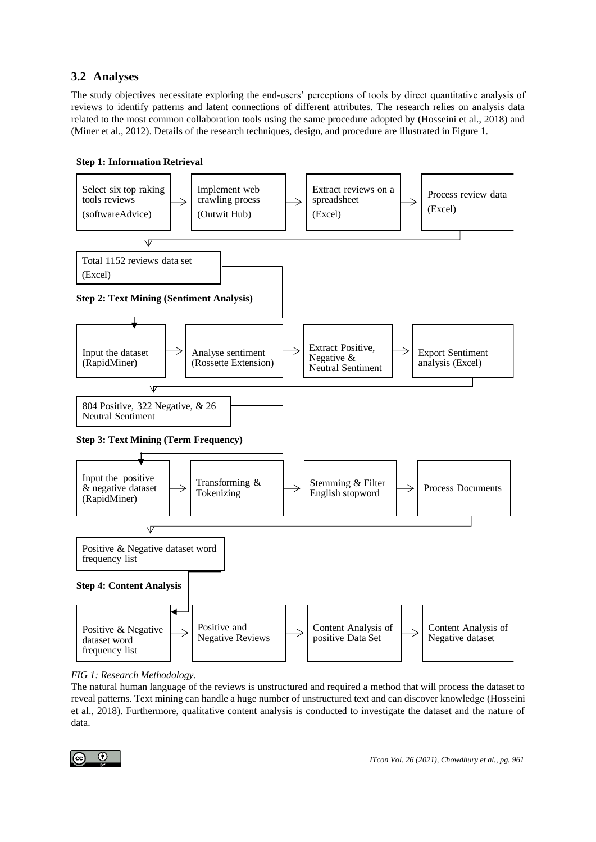## **3.2 Analyses**

The study objectives necessitate exploring the end-users' perceptions of tools by direct quantitative analysis of reviews to identify patterns and latent connections of different attributes. The research relies on analysis data related to the most common collaboration tools using the same procedure adopted by (Hosseini et al., 2018) and (Miner et al., 2012). Details of the research techniques, design, and procedure are illustrated in Figure 1.



#### **Step 1: Information Retrieval**

*FIG 1: Research Methodology.*

The natural human language of the reviews is unstructured and required a method that will process the dataset to reveal patterns. Text mining can handle a huge number of unstructured text and can discover knowledge (Hosseini et al., 2018). Furthermore, qualitative content analysis is conducted to investigate the dataset and the nature of data.

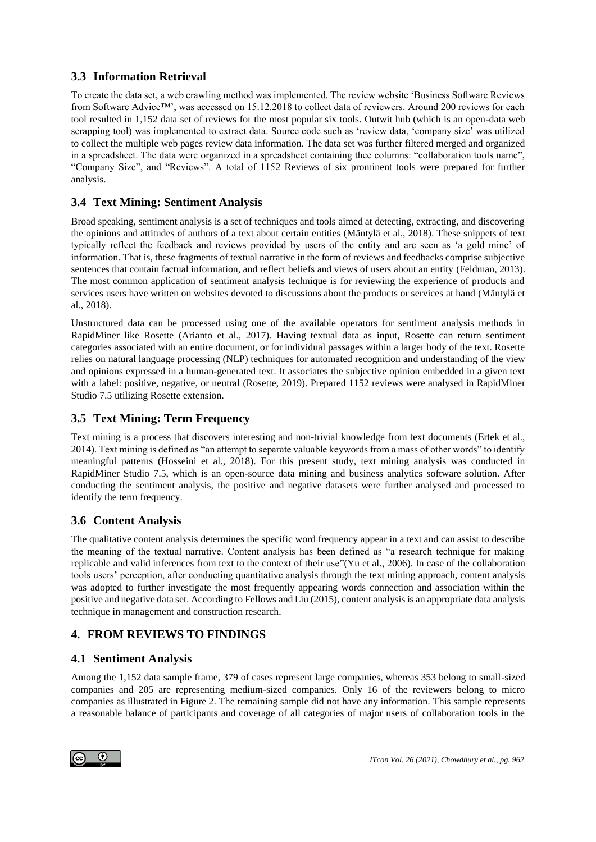## **3.3 Information Retrieval**

To create the data set, a web crawling method was implemented. The review website 'Business Software Reviews from Software Advice™', was accessed on 15.12.2018 to collect data of reviewers. Around 200 reviews for each tool resulted in 1,152 data set of reviews for the most popular six tools. Outwit hub (which is an open-data web scrapping tool) was implemented to extract data. Source code such as 'review data, 'company size' was utilized to collect the multiple web pages review data information. The data set was further filtered merged and organized in a spreadsheet. The data were organized in a spreadsheet containing thee columns: "collaboration tools name", "Company Size", and "Reviews". A total of 1152 Reviews of six prominent tools were prepared for further analysis.

## **3.4 Text Mining: Sentiment Analysis**

Broad speaking, sentiment analysis is a set of techniques and tools aimed at detecting, extracting, and discovering the opinions and attitudes of authors of a text about certain entities (Mäntylä et al., 2018). These snippets of text typically reflect the feedback and reviews provided by users of the entity and are seen as 'a gold mine' of information. That is, these fragments of textual narrative in the form of reviews and feedbacks comprise subjective sentences that contain factual information, and reflect beliefs and views of users about an entity (Feldman, 2013). The most common application of sentiment analysis technique is for reviewing the experience of products and services users have written on websites devoted to discussions about the products or services at hand (Mäntylä et al., 2018).

Unstructured data can be processed using one of the available operators for sentiment analysis methods in RapidMiner like Rosette (Arianto et al., 2017). Having textual data as input, Rosette can return sentiment categories associated with an entire document, or for individual passages within a larger body of the text. Rosette relies on natural language processing (NLP) techniques for automated recognition and understanding of the view and opinions expressed in a human-generated text. It associates the subjective opinion embedded in a given text with a label: positive, negative, or neutral (Rosette, 2019). Prepared 1152 reviews were analysed in RapidMiner Studio 7.5 utilizing Rosette extension.

## **3.5 Text Mining: Term Frequency**

Text mining is a process that discovers interesting and non-trivial knowledge from text documents (Ertek et al., 2014). Text mining is defined as "an attempt to separate valuable keywords from a mass of other words" to identify meaningful patterns (Hosseini et al., 2018). For this present study, text mining analysis was conducted in RapidMiner Studio 7.5, which is an open-source data mining and business analytics software solution. After conducting the sentiment analysis, the positive and negative datasets were further analysed and processed to identify the term frequency.

## **3.6 Content Analysis**

The qualitative content analysis determines the specific word frequency appear in a text and can assist to describe the meaning of the textual narrative. Content analysis has been defined as "a research technique for making replicable and valid inferences from text to the context of their use"(Yu et al., 2006). In case of the collaboration tools users' perception, after conducting quantitative analysis through the text mining approach, content analysis was adopted to further investigate the most frequently appearing words connection and association within the positive and negative data set. According to Fellows and Liu (2015), content analysis is an appropriate data analysis technique in management and construction research.

## **4. FROM REVIEWS TO FINDINGS**

## **4.1 Sentiment Analysis**

Among the 1,152 data sample frame, 379 of cases represent large companies, whereas 353 belong to small-sized companies and 205 are representing medium-sized companies. Only 16 of the reviewers belong to micro companies as illustrated in Figure 2. The remaining sample did not have any information. This sample represents a reasonable balance of participants and coverage of all categories of major users of collaboration tools in the

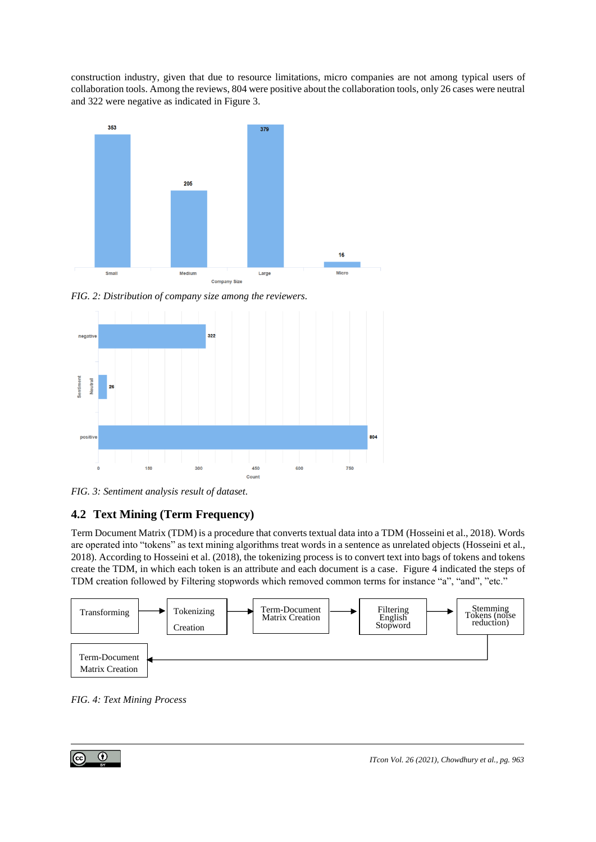construction industry, given that due to resource limitations, micro companies are not among typical users of collaboration tools. Among the reviews, 804 were positive about the collaboration tools, only 26 cases were neutral and 322 were negative as indicated in Figure 3.



*FIG. 2: Distribution of company size among the reviewers.*



*FIG. 3: Sentiment analysis result of dataset.*

# **4.2 Text Mining (Term Frequency)**

Term Document Matrix (TDM) is a procedure that converts textual data into a TDM (Hosseini et al., 2018). Words are operated into "tokens" as text mining algorithms treat words in a sentence as unrelated objects (Hosseini et al., 2018). According to Hosseini et al. (2018), the tokenizing process is to convert text into bags of tokens and tokens create the TDM, in which each token is an attribute and each document is a case. Figure 4 indicated the steps of TDM creation followed by Filtering stopwords which removed common terms for instance "a", "and", "etc."



*FIG. 4: Text Mining Process*

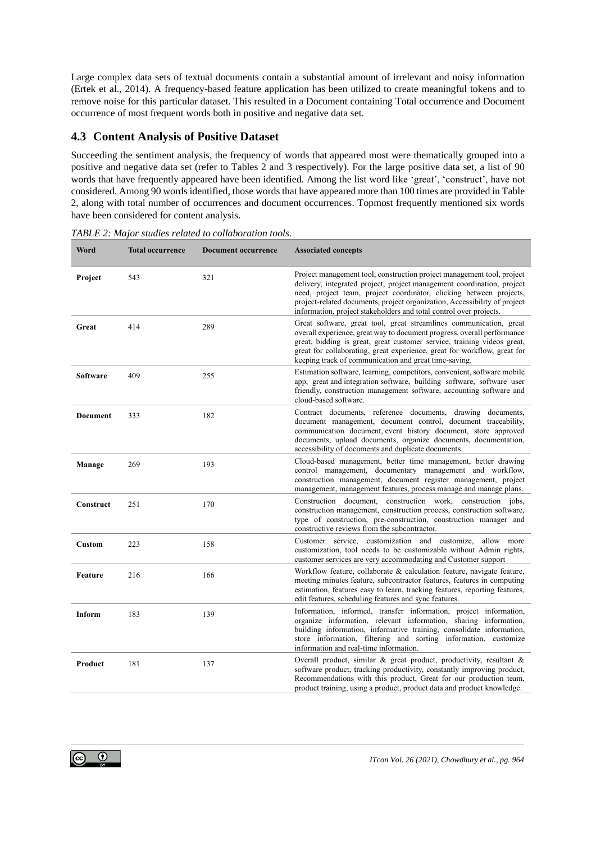Large complex data sets of textual documents contain a substantial amount of irrelevant and noisy information (Ertek et al., 2014). A frequency-based feature application has been utilized to create meaningful tokens and to remove noise for this particular dataset. This resulted in a Document containing Total occurrence and Document occurrence of most frequent words both in positive and negative data set.

### **4.3 Content Analysis of Positive Dataset**

Succeeding the sentiment analysis, the frequency of words that appeared most were thematically grouped into a positive and negative data set (refer to Tables 2 and 3 respectively). For the large positive data set, a list of 90 words that have frequently appeared have been identified. Among the list word like 'great', 'construct', have not considered. Among 90 words identified, those words that have appeared more than 100 times are provided in Table 2, along with total number of occurrences and document occurrences. Topmost frequently mentioned six words have been considered for content analysis.

| Word            | <b>Total occurrence</b> | <b>Document occurrence</b> | <b>Associated concepts</b>                                                                                                                                                                                                                                                                                                                                                 |
|-----------------|-------------------------|----------------------------|----------------------------------------------------------------------------------------------------------------------------------------------------------------------------------------------------------------------------------------------------------------------------------------------------------------------------------------------------------------------------|
| Project         | 543                     | 321                        | Project management tool, construction project management tool, project<br>delivery, integrated project, project management coordination, project<br>need, project team, project coordinator, clicking between projects,<br>project-related documents, project organization, Accessibility of project<br>information, project stakeholders and total control over projects. |
| Great           | 414                     | 289                        | Great software, great tool, great streamlines communication, great<br>overall experience, great way to document progress, overall performance<br>great, bidding is great, great customer service, training videos great,<br>great for collaborating, great experience, great for workflow, great for<br>keeping track of communication and great time-saving.              |
| <b>Software</b> | 409                     | 255                        | Estimation software, learning, competitors, convenient, software mobile<br>app, great and integration software, building software, software user<br>friendly, construction management software, accounting software and<br>cloud-based software.                                                                                                                           |
| <b>Document</b> | 333                     | 182                        | Contract documents, reference documents, drawing documents,<br>document management, document control, document traceability,<br>communication document, event history document, store approved<br>documents, upload documents, organize documents, documentation,<br>accessibility of documents and duplicate documents.                                                   |
| Manage          | 269                     | 193                        | Cloud-based management, better time management, better drawing<br>control management, documentary management and workflow,<br>construction management, document register management, project<br>management, management features, process manage and manage plans.                                                                                                          |
| Construct       | 251                     | 170                        | Construction document, construction work, construction jobs,<br>construction management, construction process, construction software,<br>type of construction, pre-construction, construction manager and<br>constructive reviews from the subcontractor.                                                                                                                  |
| <b>Custom</b>   | 223                     | 158                        | Customer service, customization and customize, allow more<br>customization, tool needs to be customizable without Admin rights,<br>customer services are very accommodating and Customer support                                                                                                                                                                           |
| <b>Feature</b>  | 216                     | 166                        | Workflow feature, collaborate & calculation feature, navigate feature,<br>meeting minutes feature, subcontractor features, features in computing<br>estimation, features easy to learn, tracking features, reporting features,<br>edit features, scheduling features and sync features.                                                                                    |
| <b>Inform</b>   | 183                     | 139                        | Information, informed, transfer information, project information,<br>organize information, relevant information, sharing information,<br>building information, informative training, consolidate information,<br>store information, filtering and sorting information, customize<br>information and real-time information.                                                 |
| Product         | 181                     | 137                        | Overall product, similar & great product, productivity, resultant &<br>software product, tracking productivity, constantly improving product,<br>Recommendations with this product, Great for our production team,<br>product training, using a product, product data and product knowledge.                                                                               |

*TABLE 2: Major studies related to collaboration tools.*

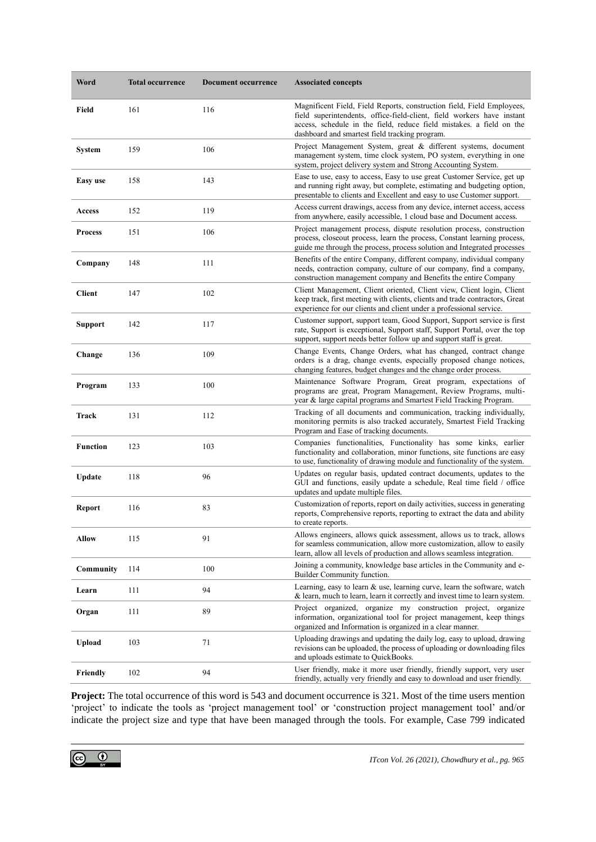| Word            | <b>Total occurrence</b> | <b>Document occurrence</b> | <b>Associated concepts</b>                                                                                                                                                                                                                                                 |
|-----------------|-------------------------|----------------------------|----------------------------------------------------------------------------------------------------------------------------------------------------------------------------------------------------------------------------------------------------------------------------|
| Field           | 161                     | 116                        | Magnificent Field, Field Reports, construction field, Field Employees,<br>field superintendents, office-field-client, field workers have instant<br>access, schedule in the field, reduce field mistakes. a field on the<br>dashboard and smartest field tracking program. |
| <b>System</b>   | 159                     | 106                        | Project Management System, great & different systems, document<br>management system, time clock system, PO system, everything in one<br>system, project delivery system and Strong Accounting System.                                                                      |
| Easy use        | 158                     | 143                        | Ease to use, easy to access, Easy to use great Customer Service, get up<br>and running right away, but complete, estimating and budgeting option,<br>presentable to clients and Excellent and easy to use Customer support.                                                |
| Access          | 152                     | 119                        | Access current drawings, access from any device, internet access, access<br>from anywhere, easily accessible, 1 cloud base and Document access.                                                                                                                            |
| <b>Process</b>  | 151                     | 106                        | Project management process, dispute resolution process, construction<br>process, closeout process, learn the process, Constant learning process,<br>guide me through the process, process solution and Integrated processes                                                |
| Company         | 148                     | 111                        | Benefits of the entire Company, different company, individual company<br>needs, contraction company, culture of our company, find a company,<br>construction management company and Benefits the entire Company                                                            |
| <b>Client</b>   | 147                     | 102                        | Client Management, Client oriented, Client view, Client login, Client<br>keep track, first meeting with clients, clients and trade contractors, Great<br>experience for our clients and client under a professional service.                                               |
| <b>Support</b>  | 142                     | 117                        | Customer support, support team, Good Support, Support service is first<br>rate, Support is exceptional, Support staff, Support Portal, over the top<br>support, support needs better follow up and support staff is great.                                                 |
| Change          | 136                     | 109                        | Change Events, Change Orders, what has changed, contract change<br>orders is a drag, change events, especially proposed change notices,<br>changing features, budget changes and the change order process.                                                                 |
| Program         | 133                     | 100                        | Maintenance Software Program, Great program, expectations of<br>programs are great, Program Management, Review Programs, multi-<br>year & large capital programs and Smartest Field Tracking Program.                                                                      |
| Track           | 131                     | 112                        | Tracking of all documents and communication, tracking individually,<br>monitoring permits is also tracked accurately, Smartest Field Tracking<br>Program and Ease of tracking documents.                                                                                   |
| <b>Function</b> | 123                     | 103                        | Companies functionalities, Functionality has some kinks, earlier<br>functionality and collaboration, minor functions, site functions are easy<br>to use, functionality of drawing module and functionality of the system.                                                  |
| Update          | 118                     | 96                         | Updates on regular basis, updated contract documents, updates to the<br>GUI and functions, easily update a schedule, Real time field / office<br>updates and update multiple files.                                                                                        |
| <b>Report</b>   | 116                     | 83                         | Customization of reports, report on daily activities, success in generating<br>reports, Comprehensive reports, reporting to extract the data and ability<br>to create reports.                                                                                             |
| <b>Allow</b>    | 115                     | 91                         | Allows engineers, allows quick assessment, allows us to track, allows<br>for seamless communication, allow more customization, allow to easily<br>learn, allow all levels of production and allows seamless integration.                                                   |
| Community       | 114                     | 100                        | Joining a community, knowledge base articles in the Community and e-<br>Builder Community function.                                                                                                                                                                        |
| Learn           | 111                     | 94                         | Learning, easy to learn & use, learning curve, learn the software, watch<br>& learn, much to learn, learn it correctly and invest time to learn system.                                                                                                                    |
| Organ           | 111                     | 89                         | Project organized, organize my construction project, organize<br>information, organizational tool for project management, keep things<br>organized and Information is organized in a clear manner.                                                                         |
| <b>Upload</b>   | 103                     | 71                         | Uploading drawings and updating the daily log, easy to upload, drawing<br>revisions can be uploaded, the process of uploading or downloading files<br>and uploads estimate to QuickBooks.                                                                                  |
| Friendly        | 102                     | 94                         | User friendly, make it more user friendly, friendly support, very user<br>friendly, actually very friendly and easy to download and user friendly.                                                                                                                         |

**Project:** The total occurrence of this word is 543 and document occurrence is 321. Most of the time users mention 'project' to indicate the tools as 'project management tool' or 'construction project management tool' and/or indicate the project size and type that have been managed through the tools. For example, Case 799 indicated

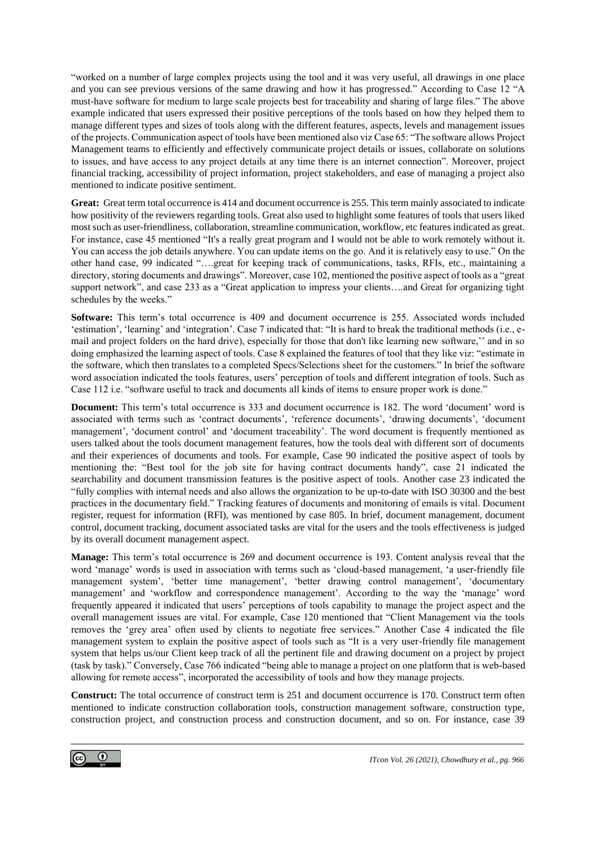"worked on a number of large complex projects using the tool and it was very useful, all drawings in one place and you can see previous versions of the same drawing and how it has progressed." According to Case 12 "A must-have software for medium to large scale projects best for traceability and sharing of large files." The above example indicated that users expressed their positive perceptions of the tools based on how they helped them to manage different types and sizes of tools along with the different features, aspects, levels and management issues of the projects. Communication aspect of tools have been mentioned also viz Case 65: "The software allows Project Management teams to efficiently and effectively communicate project details or issues, collaborate on solutions to issues, and have access to any project details at any time there is an internet connection". Moreover, project financial tracking, accessibility of project information, project stakeholders, and ease of managing a project also mentioned to indicate positive sentiment.

**Great:** Great term total occurrence is 414 and document occurrence is 255. This term mainly associated to indicate how positivity of the reviewers regarding tools. Great also used to highlight some features of tools that users liked most such as user-friendliness, collaboration, streamline communication, workflow, etc features indicated as great. For instance, case 45 mentioned "It's a really great program and I would not be able to work remotely without it. You can access the job details anywhere. You can update items on the go. And it is relatively easy to use." On the other hand case, 99 indicated "….great for keeping track of communications, tasks, RFIs, etc., maintaining a directory, storing documents and drawings". Moreover, case 102, mentioned the positive aspect of tools as a "great support network", and case 233 as a "Great application to impress your clients....and Great for organizing tight schedules by the weeks."

**Software:** This term's total occurrence is 409 and document occurrence is 255. Associated words included 'estimation', 'learning' and 'integration'. Case 7 indicated that: "It is hard to break the traditional methods (i.e., email and project folders on the hard drive), especially for those that don't like learning new software,'' and in so doing emphasized the learning aspect of tools. Case 8 explained the features of tool that they like viz: "estimate in the software, which then translates to a completed Specs/Selections sheet for the customers." In brief the software word association indicated the tools features, users' perception of tools and different integration of tools. Such as Case 112 i.e. "software useful to track and documents all kinds of items to ensure proper work is done."

**Document:** This term's total occurrence is 333 and document occurrence is 182. The word 'document' word is associated with terms such as 'contract documents', 'reference documents', 'drawing documents', 'document management', 'document control' and 'document traceability'. The word document is frequently mentioned as users talked about the tools document management features, how the tools deal with different sort of documents and their experiences of documents and tools. For example, Case 90 indicated the positive aspect of tools by mentioning the: "Best tool for the job site for having contract documents handy", case 21 indicated the searchability and document transmission features is the positive aspect of tools. Another case 23 indicated the "fully complies with internal needs and also allows the organization to be up-to-date with ISO 30300 and the best practices in the documentary field." Tracking features of documents and monitoring of emails is vital. Document register, request for information (RFI), was mentioned by case 805. In brief, document management, document control, document tracking, document associated tasks are vital for the users and the tools effectiveness is judged by its overall document management aspect.

**Manage:** This term's total occurrence is 269 and document occurrence is 193. Content analysis reveal that the word 'manage' words is used in association with terms such as 'cloud-based management, 'a user-friendly file management system', 'better time management', 'better drawing control management', 'documentary management' and 'workflow and correspondence management'. According to the way the 'manage' word frequently appeared it indicated that users' perceptions of tools capability to manage the project aspect and the overall management issues are vital. For example, Case 120 mentioned that "Client Management via the tools removes the 'grey area' often used by clients to negotiate free services." Another Case 4 indicated the file management system to explain the positive aspect of tools such as "It is a very user-friendly file management system that helps us/our Client keep track of all the pertinent file and drawing document on a project by project (task by task)." Conversely, Case 766 indicated "being able to manage a project on one platform that is web-based allowing for remote access", incorporated the accessibility of tools and how they manage projects.

**Construct:** The total occurrence of construct term is 251 and document occurrence is 170. Construct term often mentioned to indicate construction collaboration tools, construction management software, construction type, construction project, and construction process and construction document, and so on. For instance, case 39

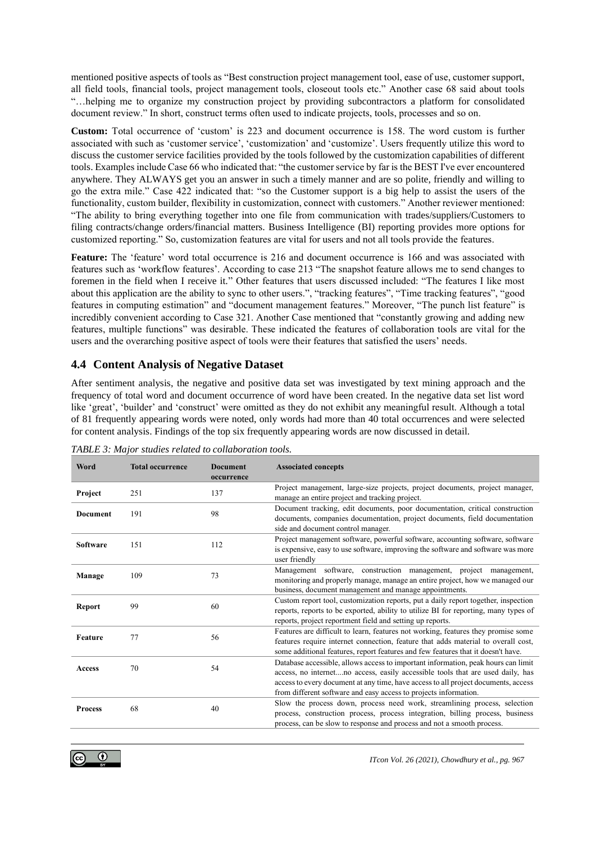mentioned positive aspects of tools as "Best construction project management tool, ease of use, customer support, all field tools, financial tools, project management tools, closeout tools etc." Another case 68 said about tools "…helping me to organize my construction project by providing subcontractors a platform for consolidated document review." In short, construct terms often used to indicate projects, tools, processes and so on.

**Custom:** Total occurrence of 'custom' is 223 and document occurrence is 158. The word custom is further associated with such as 'customer service', 'customization' and 'customize'. Users frequently utilize this word to discuss the customer service facilities provided by the tools followed by the customization capabilities of different tools. Examples include Case 66 who indicated that: "the customer service by far is the BEST I've ever encountered anywhere. They ALWAYS get you an answer in such a timely manner and are so polite, friendly and willing to go the extra mile." Case 422 indicated that: "so the Customer support is a big help to assist the users of the functionality, custom builder, flexibility in customization, connect with customers." Another reviewer mentioned: "The ability to bring everything together into one file from communication with trades/suppliers/Customers to filing contracts/change orders/financial matters. Business Intelligence (BI) reporting provides more options for customized reporting." So, customization features are vital for users and not all tools provide the features.

**Feature:** The 'feature' word total occurrence is 216 and document occurrence is 166 and was associated with features such as 'workflow features'. According to case 213 "The snapshot feature allows me to send changes to foremen in the field when I receive it." Other features that users discussed included: "The features I like most about this application are the ability to sync to other users.", "tracking features", "Time tracking features", "good features in computing estimation" and "document management features." Moreover, "The punch list feature" is incredibly convenient according to Case 321. Another Case mentioned that "constantly growing and adding new features, multiple functions" was desirable. These indicated the features of collaboration tools are vital for the users and the overarching positive aspect of tools were their features that satisfied the users' needs.

### **4.4 Content Analysis of Negative Dataset**

After sentiment analysis, the negative and positive data set was investigated by text mining approach and the frequency of total word and document occurrence of word have been created. In the negative data set list word like 'great', 'builder' and 'construct' were omitted as they do not exhibit any meaningful result. Although a total of 81 frequently appearing words were noted, only words had more than 40 total occurrences and were selected for content analysis. Findings of the top six frequently appearing words are now discussed in detail.

| Word            | <b>Total occurrence</b> | <b>Document</b> | <b>Associated concepts</b>                                                          |
|-----------------|-------------------------|-----------------|-------------------------------------------------------------------------------------|
|                 |                         | occurrence      |                                                                                     |
| Project<br>251  |                         | 137             | Project management, large-size projects, project documents, project manager,        |
|                 |                         |                 | manage an entire project and tracking project.                                      |
| <b>Document</b> | 191                     | 98              | Document tracking, edit documents, poor documentation, critical construction        |
|                 |                         |                 | documents, companies documentation, project documents, field documentation          |
|                 |                         |                 | side and document control manager.                                                  |
| <b>Software</b> | 151                     | 112             | Project management software, powerful software, accounting software, software       |
|                 |                         |                 | is expensive, easy to use software, improving the software and software was more    |
|                 |                         |                 | user friendly                                                                       |
| Manage          | 109                     | 73              | Management software, construction management, project management,                   |
|                 |                         |                 | monitoring and properly manage, manage an entire project, how we managed our        |
|                 |                         |                 | business, document management and manage appointments.                              |
| <b>Report</b>   | 99                      | 60              | Custom report tool, customization reports, put a daily report together, inspection  |
|                 |                         |                 | reports, reports to be exported, ability to utilize BI for reporting, many types of |
|                 |                         |                 | reports, project reportment field and setting up reports.                           |
| Feature         | 77                      | 56              | Features are difficult to learn, features not working, features they promise some   |
|                 |                         |                 | features require internet connection, feature that adds material to overall cost,   |
|                 |                         |                 | some additional features, report features and few features that it doesn't have.    |
| <b>Access</b>   | 70                      | 54              | Database accessible, allows access to important information, peak hours can limit   |
|                 |                         |                 | access, no internetno access, easily accessible tools that are used daily, has      |
|                 |                         |                 | access to every document at any time, have access to all project documents, access  |
|                 |                         |                 | from different software and easy access to projects information.                    |
| <b>Process</b>  | 68                      | 40              | Slow the process down, process need work, streamlining process, selection           |
|                 |                         |                 | process, construction process, process integration, billing process, business       |
|                 |                         |                 | process, can be slow to response and process and not a smooth process.              |

*TABLE 3: Major studies related to collaboration tools.*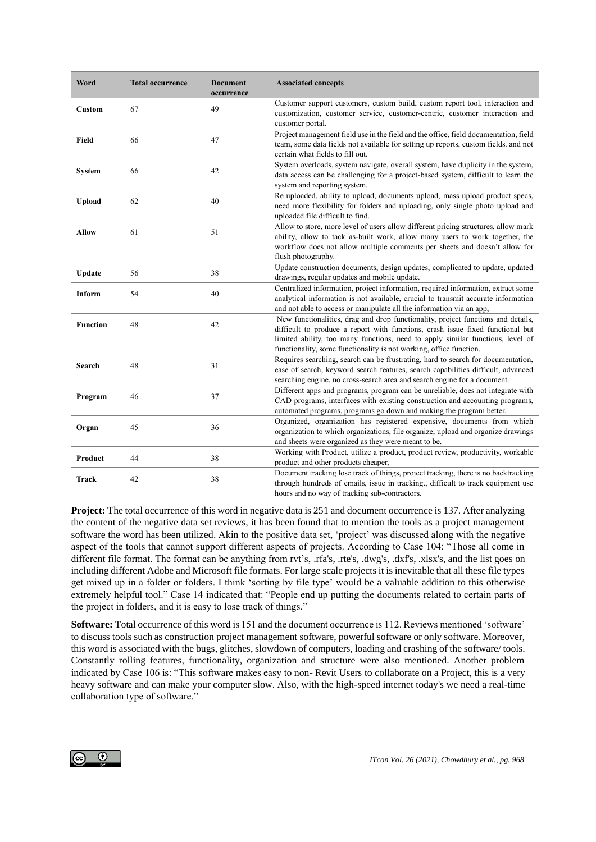| Word            | <b>Total occurrence</b> | <b>Document</b><br>occurrence | <b>Associated concepts</b>                                                                                                                                                                                                                                                                                                 |
|-----------------|-------------------------|-------------------------------|----------------------------------------------------------------------------------------------------------------------------------------------------------------------------------------------------------------------------------------------------------------------------------------------------------------------------|
| Custom          | 67                      | 49                            | Customer support customers, custom build, custom report tool, interaction and<br>customization, customer service, customer-centric, customer interaction and<br>customer portal.                                                                                                                                           |
| Field           | 66                      | 47                            | Project management field use in the field and the office, field documentation, field<br>team, some data fields not available for setting up reports, custom fields. and not<br>certain what fields to fill out.                                                                                                            |
| <b>System</b>   | 66                      | 42                            | System overloads, system navigate, overall system, have duplicity in the system,<br>data access can be challenging for a project-based system, difficult to learn the<br>system and reporting system.                                                                                                                      |
| <b>Upload</b>   | 62                      | 40                            | Re uploaded, ability to upload, documents upload, mass upload product specs,<br>need more flexibility for folders and uploading, only single photo upload and<br>uploaded file difficult to find.                                                                                                                          |
| <b>Allow</b>    | 61                      | 51                            | Allow to store, more level of users allow different pricing structures, allow mark<br>ability, allow to tack as-built work, allow many users to work together, the<br>workflow does not allow multiple comments per sheets and doesn't allow for<br>flush photography.                                                     |
| Update          | 56                      | 38                            | Update construction documents, design updates, complicated to update, updated<br>drawings, regular updates and mobile update.                                                                                                                                                                                              |
| <b>Inform</b>   | 54                      | 40                            | Centralized information, project information, required information, extract some<br>analytical information is not available, crucial to transmit accurate information<br>and not able to access or manipulate all the information via an app,                                                                              |
| <b>Function</b> | 48                      | 42                            | New functionalities, drag and drop functionality, project functions and details,<br>difficult to produce a report with functions, crash issue fixed functional but<br>limited ability, too many functions, need to apply similar functions, level of<br>functionality, some functionality is not working, office function. |
| Search          | 48                      | 31                            | Requires searching, search can be frustrating, hard to search for documentation,<br>ease of search, keyword search features, search capabilities difficult, advanced<br>searching engine, no cross-search area and search engine for a document.                                                                           |
| Program         | 46                      | 37                            | Different apps and programs, program can be unreliable, does not integrate with<br>CAD programs, interfaces with existing construction and accounting programs,<br>automated programs, programs go down and making the program better.                                                                                     |
| Organ           | 45                      | 36                            | Organized, organization has registered expensive, documents from which<br>organization to which organizations, file organize, upload and organize drawings<br>and sheets were organized as they were meant to be.                                                                                                          |
| Product         | 44                      | 38                            | Working with Product, utilize a product, product review, productivity, workable<br>product and other products cheaper,                                                                                                                                                                                                     |
| Track           | 42                      | 38                            | Document tracking lose track of things, project tracking, there is no backtracking<br>through hundreds of emails, issue in tracking., difficult to track equipment use<br>hours and no way of tracking sub-contractors.                                                                                                    |

**Project:** The total occurrence of this word in negative data is 251 and document occurrence is 137. After analyzing the content of the negative data set reviews, it has been found that to mention the tools as a project management software the word has been utilized. Akin to the positive data set, 'project' was discussed along with the negative aspect of the tools that cannot support different aspects of projects. According to Case 104: "Those all come in different file format. The format can be anything from ryt's, .rfa's, .rte's, .dwg's, .dxf's, .xlsx's, and the list goes on including different Adobe and Microsoft file formats. For large scale projects it is inevitable that all these file types get mixed up in a folder or folders. I think 'sorting by file type' would be a valuable addition to this otherwise extremely helpful tool." Case 14 indicated that: "People end up putting the documents related to certain parts of the project in folders, and it is easy to lose track of things."

**Software:** Total occurrence of this word is 151 and the document occurrence is 112. Reviews mentioned 'software' to discuss tools such as construction project management software, powerful software or only software. Moreover, this word is associated with the bugs, glitches, slowdown of computers, loading and crashing of the software/ tools. Constantly rolling features, functionality, organization and structure were also mentioned. Another problem indicated by Case 106 is: "This software makes easy to non- Revit Users to collaborate on a Project, this is a very heavy software and can make your computer slow. Also, with the high-speed internet today's we need a real-time collaboration type of software."

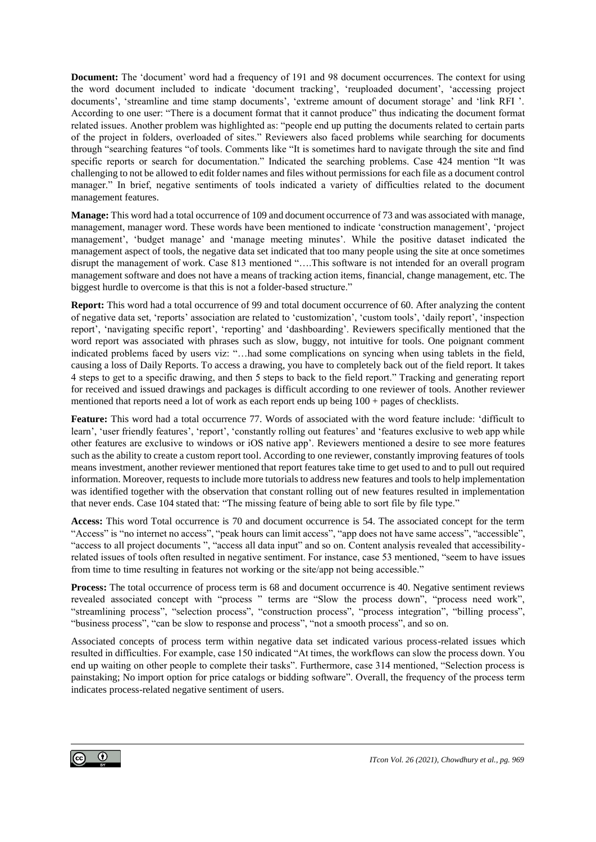**Document:** The 'document' word had a frequency of 191 and 98 document occurrences. The context for using the word document included to indicate 'document tracking', 'reuploaded document', 'accessing project documents', 'streamline and time stamp documents', 'extreme amount of document storage' and 'link RFI '. According to one user: "There is a document format that it cannot produce" thus indicating the document format related issues. Another problem was highlighted as: "people end up putting the documents related to certain parts of the project in folders, overloaded of sites." Reviewers also faced problems while searching for documents through "searching features "of tools. Comments like "It is sometimes hard to navigate through the site and find specific reports or search for documentation." Indicated the searching problems. Case 424 mention "It was challenging to not be allowed to edit folder names and files without permissions for each file as a document control manager." In brief, negative sentiments of tools indicated a variety of difficulties related to the document management features.

**Manage:** This word had a total occurrence of 109 and document occurrence of 73 and was associated with manage, management, manager word. These words have been mentioned to indicate 'construction management', 'project management', 'budget manage' and 'manage meeting minutes'. While the positive dataset indicated the management aspect of tools, the negative data set indicated that too many people using the site at once sometimes disrupt the management of work. Case 813 mentioned "….This software is not intended for an overall program management software and does not have a means of tracking action items, financial, change management, etc. The biggest hurdle to overcome is that this is not a folder-based structure."

**Report:** This word had a total occurrence of 99 and total document occurrence of 60. After analyzing the content of negative data set, 'reports' association are related to 'customization', 'custom tools', 'daily report', 'inspection report', 'navigating specific report', 'reporting' and 'dashboarding'. Reviewers specifically mentioned that the word report was associated with phrases such as slow, buggy, not intuitive for tools. One poignant comment indicated problems faced by users viz: "…had some complications on syncing when using tablets in the field, causing a loss of Daily Reports. To access a drawing, you have to completely back out of the field report. It takes 4 steps to get to a specific drawing, and then 5 steps to back to the field report." Tracking and generating report for received and issued drawings and packages is difficult according to one reviewer of tools. Another reviewer mentioned that reports need a lot of work as each report ends up being 100 + pages of checklists.

**Feature:** This word had a total occurrence 77. Words of associated with the word feature include: 'difficult to learn', 'user friendly features', 'report', 'constantly rolling out features' and 'features exclusive to web app while other features are exclusive to windows or iOS native app'. Reviewers mentioned a desire to see more features such as the ability to create a custom report tool. According to one reviewer, constantly improving features of tools means investment, another reviewer mentioned that report features take time to get used to and to pull out required information. Moreover, requests to include more tutorials to address new features and tools to help implementation was identified together with the observation that constant rolling out of new features resulted in implementation that never ends. Case 104 stated that: "The missing feature of being able to sort file by file type."

**Access:** This word Total occurrence is 70 and document occurrence is 54. The associated concept for the term "Access" is "no internet no access", "peak hours can limit access", "app does not have same access", "accessible", "access to all project documents ", "access all data input" and so on. Content analysis revealed that accessibilityrelated issues of tools often resulted in negative sentiment. For instance, case 53 mentioned, "seem to have issues from time to time resulting in features not working or the site/app not being accessible."

**Process:** The total occurrence of process term is 68 and document occurrence is 40. Negative sentiment reviews revealed associated concept with "process " terms are "Slow the process down", "process need work", "streamlining process", "selection process", "construction process", "process integration", "billing process", "business process", "can be slow to response and process", "not a smooth process", and so on.

Associated concepts of process term within negative data set indicated various process-related issues which resulted in difficulties. For example, case 150 indicated "At times, the workflows can slow the process down. You end up waiting on other people to complete their tasks". Furthermore, case 314 mentioned, "Selection process is painstaking; No import option for price catalogs or bidding software". Overall, the frequency of the process term indicates process-related negative sentiment of users.

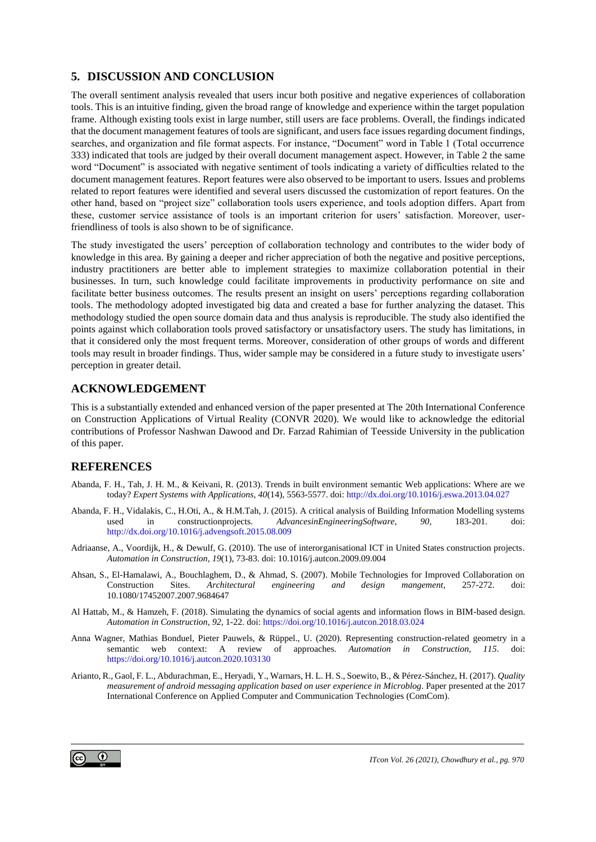### **5. DISCUSSION AND CONCLUSION**

The overall sentiment analysis revealed that users incur both positive and negative experiences of collaboration tools. This is an intuitive finding, given the broad range of knowledge and experience within the target population frame. Although existing tools exist in large number, still users are face problems. Overall, the findings indicated that the document management features of tools are significant, and users face issues regarding document findings, searches, and organization and file format aspects. For instance, "Document" word in Table 1 (Total occurrence 333) indicated that tools are judged by their overall document management aspect. However, in Table 2 the same word "Document" is associated with negative sentiment of tools indicating a variety of difficulties related to the document management features. Report features were also observed to be important to users. Issues and problems related to report features were identified and several users discussed the customization of report features. On the other hand, based on "project size" collaboration tools users experience, and tools adoption differs. Apart from these, customer service assistance of tools is an important criterion for users' satisfaction. Moreover, userfriendliness of tools is also shown to be of significance.

The study investigated the users' perception of collaboration technology and contributes to the wider body of knowledge in this area. By gaining a deeper and richer appreciation of both the negative and positive perceptions, industry practitioners are better able to implement strategies to maximize collaboration potential in their businesses. In turn, such knowledge could facilitate improvements in productivity performance on site and facilitate better business outcomes. The results present an insight on users' perceptions regarding collaboration tools. The methodology adopted investigated big data and created a base for further analyzing the dataset. This methodology studied the open source domain data and thus analysis is reproducible. The study also identified the points against which collaboration tools proved satisfactory or unsatisfactory users. The study has limitations, in that it considered only the most frequent terms. Moreover, consideration of other groups of words and different tools may result in broader findings. Thus, wider sample may be considered in a future study to investigate users' perception in greater detail.

#### **ACKNOWLEDGEMENT**

This is a substantially extended and enhanced version of the paper presented at The 20th International Conference on Construction Applications of Virtual Reality (CONVR 2020). We would like to acknowledge the editorial contributions of Professor Nashwan Dawood and Dr. Farzad Rahimian of Teesside University in the publication of this paper.

#### **REFERENCES**

- Abanda, F. H., Tah, J. H. M., & Keivani, R. (2013). Trends in built environment semantic Web applications: Where are we today? *Expert Systems with Applications, 40*(14), 5563-5577. doi[: http://dx.doi.org/10.1016/j.eswa.2013.04.027](http://dx.doi.org/10.1016/j.eswa.2013.04.027)
- Abanda, F. H., Vidalakis, C., H.Oti, A., & H.M.Tah, J. (2015). A critical analysis of Building Information Modelling systems used in constructionprojects. *AdvancesinEngineeringSoftware, 90*, 183-201. doi: <http://dx.doi.org/10.1016/j.advengsoft.2015.08.009>
- Adriaanse, A., Voordijk, H., & Dewulf, G. (2010). The use of interorganisational ICT in United States construction projects. *Automation in Construction, 19*(1), 73-83. doi: 10.1016/j.autcon.2009.09.004
- Ahsan, S., El-Hamalawi, A., Bouchlaghem, D., & Ahmad, S. (2007). Mobile Technologies for Improved Collaboration on Construction Sites. *Architectural engineering and design mangement*, 257-272. doi: 10.1080/17452007.2007.9684647
- Al Hattab, M., & Hamzeh, F. (2018). Simulating the dynamics of social agents and information flows in BIM-based design. *Automation in Construction, 92*, 1-22. doi[: https://doi.org/10.1016/j.autcon.2018.03.024](https://doi.org/10.1016/j.autcon.2018.03.024)
- Anna Wagner, Mathias Bonduel, Pieter Pauwels, & Rüppel., U. (2020). Representing construction-related geometry in a semantic web context: A review of approaches. *Automation in Construction, 115*. doi: <https://doi.org/10.1016/j.autcon.2020.103130>
- Arianto, R., Gaol, F. L., Abdurachman, E., Heryadi, Y., Warnars, H. L. H. S., Soewito, B., & Pérez-Sánchez, H. (2017). *Quality measurement of android messaging application based on user experience in Microblog*. Paper presented at the 2017 International Conference on Applied Computer and Communication Technologies (ComCom).

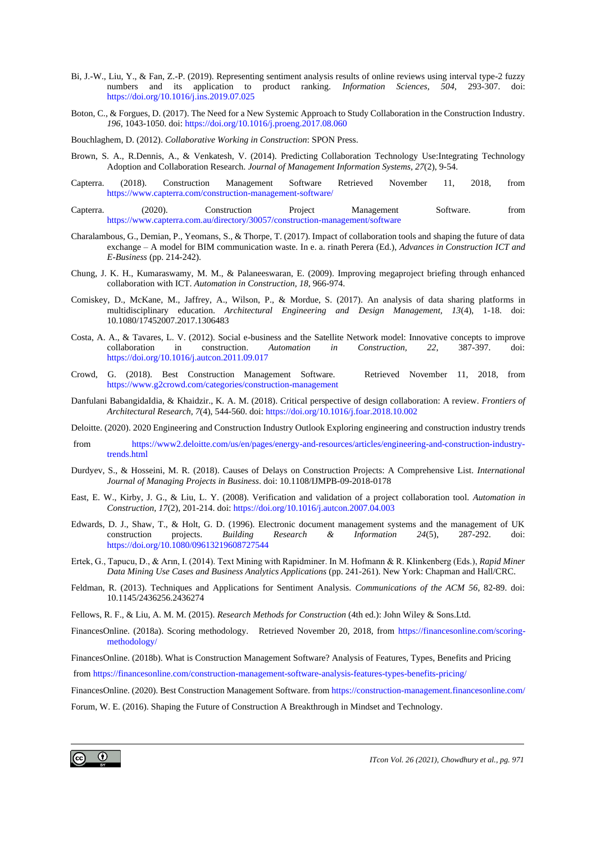- Bi, J.-W., Liu, Y., & Fan, Z.-P. (2019). Representing sentiment analysis results of online reviews using interval type-2 fuzzy numbers and its application to product ranking. *Information Sciences, 504*, 293-307. doi: <https://doi.org/10.1016/j.ins.2019.07.025>
- Boton, C., & Forgues, D. (2017). The Need for a New Systemic Approach to Study Collaboration in the Construction Industry. *196*, 1043-1050. doi[: https://doi.org/10.1016/j.proeng.2017.08.060](https://doi.org/10.1016/j.proeng.2017.08.060)
- Bouchlaghem, D. (2012). *Collaborative Working in Construction*: SPON Press.
- Brown, S. A., R.Dennis, A., & Venkatesh, V. (2014). Predicting Collaboration Technology Use:Integrating Technology Adoption and Collaboration Research. *Journal of Management Information Systems, 27*(2), 9-54.
- Capterra. (2018). Construction Management Software Retrieved November 11, 2018, from <https://www.capterra.com/construction-management-software/>
- Capterra. (2020). Construction Project Management Software. from <https://www.capterra.com.au/directory/30057/construction-management/software>
- Charalambous, G., Demian, P., Yeomans, S., & Thorpe, T. (2017). Impact of collaboration tools and shaping the future of data exchange – A model for BIM communication waste. In e. a. rinath Perera (Ed.), *Advances in Construction ICT and E-Business* (pp. 214-242).
- Chung, J. K. H., Kumaraswamy, M. M., & Palaneeswaran, E. (2009). Improving megaproject briefing through enhanced collaboration with ICT. *Automation in Construction, 18*, 966-974.
- Comiskey, D., McKane, M., Jaffrey, A., Wilson, P., & Mordue, S. (2017). An analysis of data sharing platforms in multidisciplinary education. *Architectural Engineering and Design Management, 13*(4), 1-18. doi: 10.1080/17452007.2017.1306483
- Costa, A. A., & Tavares, L. V. (2012). Social e-business and the Satellite Network model: Innovative concepts to improve collaboration in construction. *Automation in Construction, 22*, 387-397. doi: <https://doi.org/10.1016/j.autcon.2011.09.017>
- Crowd, G. (2018). Best Construction Management Software. Retrieved November 11, 2018, from <https://www.g2crowd.com/categories/construction-management>
- Danfulani BabangidaIdia, & Khaidzir., K. A. M. (2018). Critical perspective of design collaboration: A review. *Frontiers of Architectural Research, 7*(4), 544-560. doi[: https://doi.org/10.1016/j.foar.2018.10.002](https://doi.org/10.1016/j.foar.2018.10.002)
- Deloitte. (2020). 2020 Engineering and Construction Industry Outlook Exploring engineering and construction industry trends
- from [https://www2.deloitte.com/us/en/pages/energy-and-resources/articles/engineering-and-construction-industry](https://www2.deloitte.com/us/en/pages/energy-and-resources/articles/engineering-and-construction-industry-trends.html)[trends.html](https://www2.deloitte.com/us/en/pages/energy-and-resources/articles/engineering-and-construction-industry-trends.html)
- Durdyev, S., & Hosseini, M. R. (2018). Causes of Delays on Construction Projects: A Comprehensive List. *International Journal of Managing Projects in Business*. doi: 10.1108/IJMPB-09-2018-0178
- East, E. W., Kirby, J. G., & Liu, L. Y. (2008). Verification and validation of a project collaboration tool. *Automation in Construction, 17*(2), 201-214. doi[: https://doi.org/10.1016/j.autcon.2007.04.003](https://doi.org/10.1016/j.autcon.2007.04.003)
- Edwards, D. J., Shaw, T., & Holt, G. D. (1996). Electronic document management systems and the management of UK construction projects. *Building Research & Information 24*(5), 287-292. doi: <https://doi.org/10.1080/09613219608727544>
- Ertek, G., Tapucu, D., & Arın, I. (2014). Text Mining with Rapidminer. In M. Hofmann & R. Klinkenberg (Eds.), *Rapid Miner Data Mining Use Cases and Business Analytics Applications* (pp. 241-261). New York: Chapman and Hall/CRC.
- Feldman, R. (2013). Techniques and Applications for Sentiment Analysis. *Communications of the ACM 56*, 82-89. doi: 10.1145/2436256.2436274
- Fellows, R. F., & Liu, A. M. M. (2015). *Research Methods for Construction* (4th ed.): John Wiley & Sons.Ltd.
- FinancesOnline. (2018a). Scoring methodology. Retrieved November 20, 2018, from [https://financesonline.com/scoring](https://financesonline.com/scoring-methodology/)[methodology/](https://financesonline.com/scoring-methodology/)

FinancesOnline. (2018b). What is Construction Management Software? Analysis of Features, Types, Benefits and Pricing

from<https://financesonline.com/construction-management-software-analysis-features-types-benefits-pricing/>

FinancesOnline. (2020). Best Construction Management Software. fro[m https://construction-management.financesonline.com/](https://construction-management.financesonline.com/)

Forum, W. E. (2016). Shaping the Future of Construction A Breakthrough in Mindset and Technology.

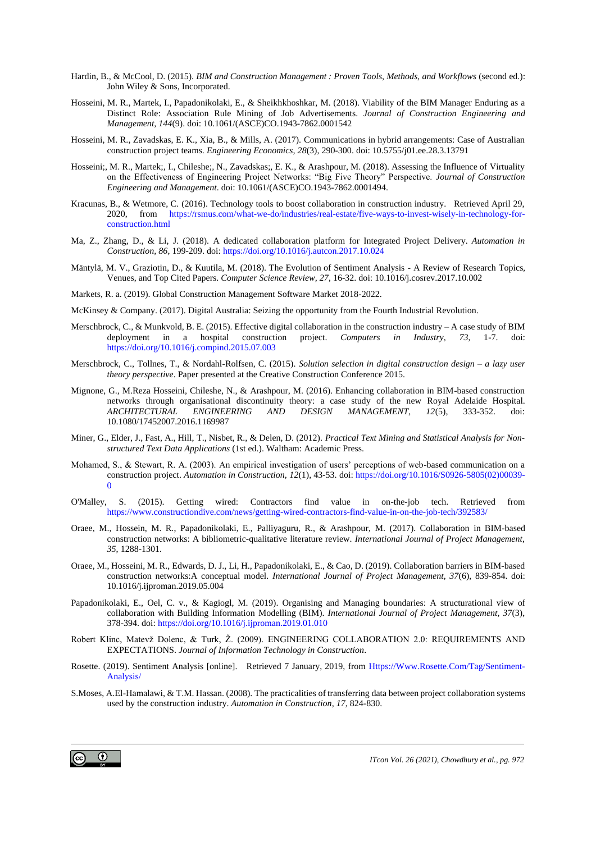- Hardin, B., & McCool, D. (2015). *BIM and Construction Management : Proven Tools, Methods, and Workflows* (second ed.): John Wiley & Sons, Incorporated.
- Hosseini, M. R., Martek, I., Papadonikolaki, E., & Sheikhkhoshkar, M. (2018). Viability of the BIM Manager Enduring as a Distinct Role: Association Rule Mining of Job Advertisements. *Journal of Construction Engineering and Management, 144*(9). doi: 10.1061/(ASCE)CO.1943-7862.0001542
- Hosseini, M. R., Zavadskas, E. K., Xia, B., & Mills, A. (2017). Communications in hybrid arrangements: Case of Australian construction project teams. *Engineering Economics, 28*(3), 290-300. doi: 10.5755/j01.ee.28.3.13791
- Hosseini;, M. R., Martek;, I., Chileshe;, N., Zavadskas;, E. K., & Arashpour, M. (2018). Assessing the Influence of Virtuality on the Effectiveness of Engineering Project Networks: "Big Five Theory" Perspective. *Journal of Construction Engineering and Management*. doi: 10.1061/(ASCE)CO.1943-7862.0001494.
- Kracunas, B., & Wetmore, C. (2016). Technology tools to boost collaboration in construction industry. Retrieved April 29, 2020, from [https://rsmus.com/what-we-do/industries/real-estate/five-ways-to-invest-wisely-in-technology-for](https://rsmus.com/what-we-do/industries/real-estate/five-ways-to-invest-wisely-in-technology-for-construction.html)[construction.html](https://rsmus.com/what-we-do/industries/real-estate/five-ways-to-invest-wisely-in-technology-for-construction.html)
- Ma, Z., Zhang, D., & Li, J. (2018). A dedicated collaboration platform for Integrated Project Delivery. *Automation in Construction, 86*, 199-209. doi[: https://doi.org/10.1016/j.autcon.2017.10.024](https://doi.org/10.1016/j.autcon.2017.10.024)
- Mäntylä, M. V., Graziotin, D., & Kuutila, M. (2018). The Evolution of Sentiment Analysis A Review of Research Topics, Venues, and Top Cited Papers. *Computer Science Review, 27*, 16-32. doi: 10.1016/j.cosrev.2017.10.002
- Markets, R. a. (2019). Global Construction Management Software Market 2018-2022.
- McKinsey & Company. (2017). Digital Australia: Seizing the opportunity from the Fourth Industrial Revolution.
- Merschbrock, C., & Munkvold, B. E. (2015). Effective digital collaboration in the construction industry A case study of BIM deployment in a hospital construction project. *Computers in Industry, 73*, 1-7. doi: <https://doi.org/10.1016/j.compind.2015.07.003>
- Merschbrock, C., Tollnes, T., & Nordahl-Rolfsen, C. (2015). *Solution selection in digital construction design – a lazy user theory perspective*. Paper presented at the Creative Construction Conference 2015.
- Mignone, G., M.Reza Hosseini, Chileshe, N., & Arashpour, M. (2016). Enhancing collaboration in BIM-based construction networks through organisational discontinuity theory: a case study of the new Royal Adelaide Hospital. *ARCHITECTURAL ENGINEERING AND DESIGN MANAGEMENT, 12*(5), 333-352. doi: 10.1080/17452007.2016.1169987
- Miner, G., Elder, J., Fast, A., Hill, T., Nisbet, R., & Delen, D. (2012). *Practical Text Mining and Statistical Analysis for Nonstructured Text Data Applications* (1st ed.). Waltham: Academic Press.
- Mohamed, S., & Stewart, R. A. (2003). An empirical investigation of users' perceptions of web-based communication on a construction project. *Automation in Construction, 12*(1), 43-53. doi[: https://doi.org/10.1016/S0926-5805\(02\)00039-](https://doi.org/10.1016/S0926-5805(02)00039-0)  $\Omega$
- O'Malley, S. (2015). Getting wired: Contractors find value in on-the-job tech. Retrieved from <https://www.constructiondive.com/news/getting-wired-contractors-find-value-in-on-the-job-tech/392583/>
- Oraee, M., Hossein, M. R., Papadonikolaki, E., Palliyaguru, R., & Arashpour, M. (2017). Collaboration in BIM-based construction networks: A bibliometric-qualitative literature review. *International Journal of Project Management, 35*, 1288-1301.
- Oraee, M., Hosseini, M. R., Edwards, D. J., Li, H., Papadonikolaki, E., & Cao, D. (2019). Collaboration barriers in BIM-based construction networks:A conceptual model. *International Journal of Project Management, 37*(6), 839-854. doi: 10.1016/j.ijproman.2019.05.004
- Papadonikolaki, E., Oel, C. v., & Kagiogl, M. (2019). Organising and Managing boundaries: A structurational view of collaboration with Building Information Modelling (BIM). *International Journal of Project Management, 37*(3), 378-394. doi[: https://doi.org/10.1016/j.ijproman.2019.01.010](https://doi.org/10.1016/j.ijproman.2019.01.010)
- Robert Klinc, Matevž Dolenc, & Turk, Ž. (2009). ENGINEERING COLLABORATION 2.0: REQUIREMENTS AND EXPECTATIONS. *Journal of Information Technology in Construction*.
- Rosette. (2019). Sentiment Analysis [online]. Retrieved 7 January, 2019, from [Https://Www.Rosette.Com/Tag/Sentiment-](https://www.rosette.com/Tag/Sentiment-Analysis/)[Analysis/](https://www.rosette.com/Tag/Sentiment-Analysis/)
- S.Moses, A.El-Hamalawi, & T.M. Hassan. (2008). The practicalities of transferring data between project collaboration systems used by the construction industry. *Automation in Construction, 17*, 824-830.